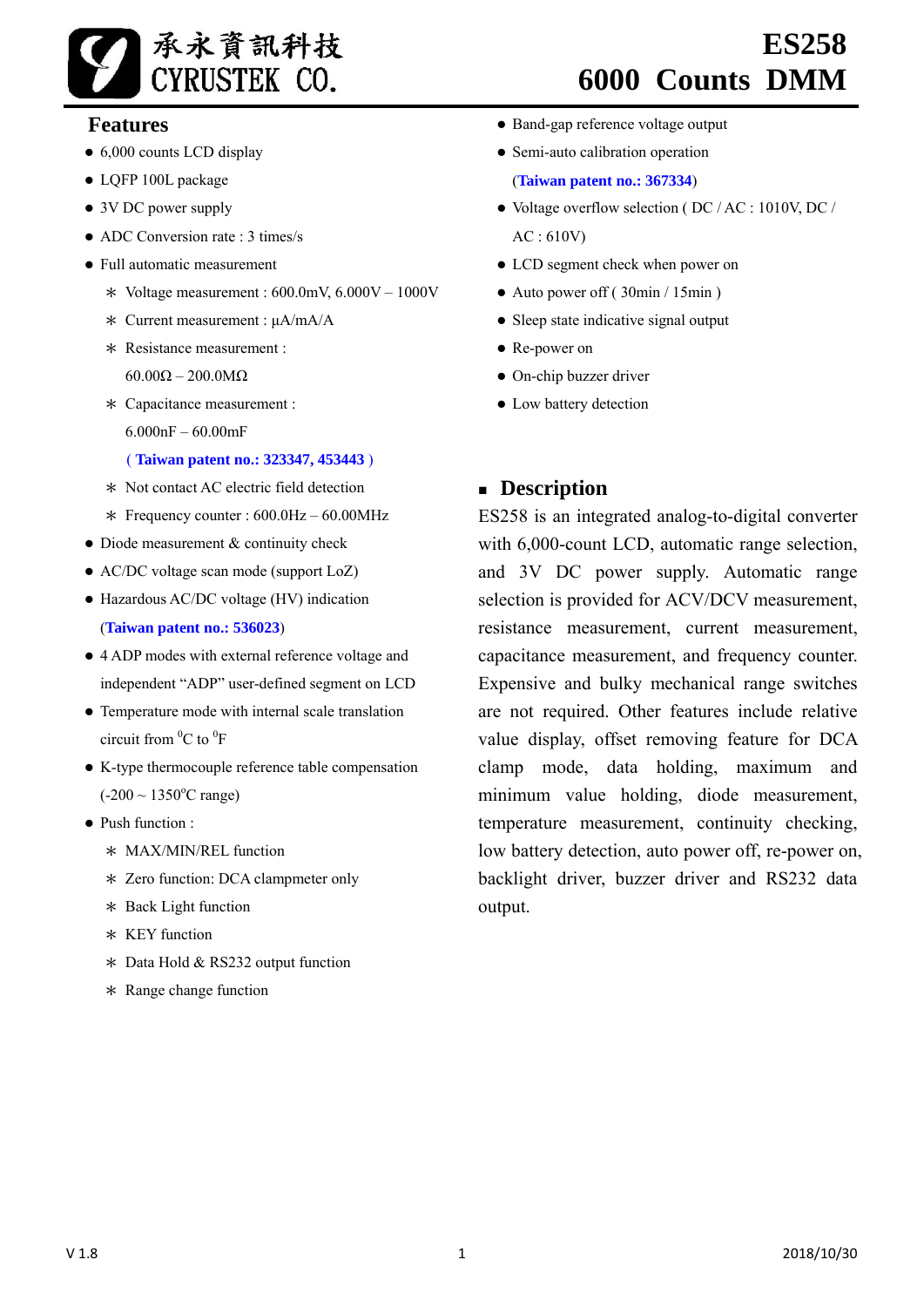

# **6000 Counts DMM**

# **Features**

- 6,000 counts LCD display
- LQFP 100L package
- 3V DC power supply
- $\bullet$  ADC Conversion rate  $\cdot$  3 times/s
- Full automatic measurement
	- \* Voltage measurement : 600.0mV, 6.000V 1000V
	- \* Current measurement : μA/mA/A
	- \* Resistance measurement : 60.00Ω – 200.0MΩ
	- \* Capacitance measurement : 6.000nF – 60.00mF

# ( **Taiwan patent no.: 323347, 453443** )

- \* Not contact AC electric field detection
- \* Frequency counter : 600.0Hz 60.00MHz
- Diode measurement & continuity check
- AC/DC voltage scan mode (support LoZ)
- Hazardous AC/DC voltage (HV) indication (**Taiwan patent no.: 536023**)
- 4 ADP modes with external reference voltage and independent "ADP" user-defined segment on LCD
- Temperature mode with internal scale translation circuit from  ${}^{0}C$  to  ${}^{0}F$
- K-type thermocouple reference table compensation  $(-200 \sim 1350$ °C range)
- Push function :
	- \* MAX/MIN/REL function
	- \* Zero function: DCA clampmeter only
	- \* Back Light function
	- \* KEY function
	- \* Data Hold & RS232 output function
	- \* Range change function
- Band-gap reference voltage output
- Semi-auto calibration operation

(**Taiwan patent no.: 367334**)

• Voltage overflow selection (DC / AC : 1010V, DC / AC : 610V)

 **ES258**

- LCD segment check when power on
- Auto power off (30min / 15min)
- Sleep state indicative signal output
- Re-power on
- On-chip buzzer driver
- Low battery detection

# **Description**

ES258 is an integrated analog-to-digital converter with 6,000-count LCD, automatic range selection, and 3V DC power supply. Automatic range selection is provided for ACV/DCV measurement, resistance measurement, current measurement, capacitance measurement, and frequency counter. Expensive and bulky mechanical range switches are not required. Other features include relative value display, offset removing feature for DCA clamp mode, data holding, maximum and minimum value holding, diode measurement, temperature measurement, continuity checking, low battery detection, auto power off, re-power on, backlight driver, buzzer driver and RS232 data output.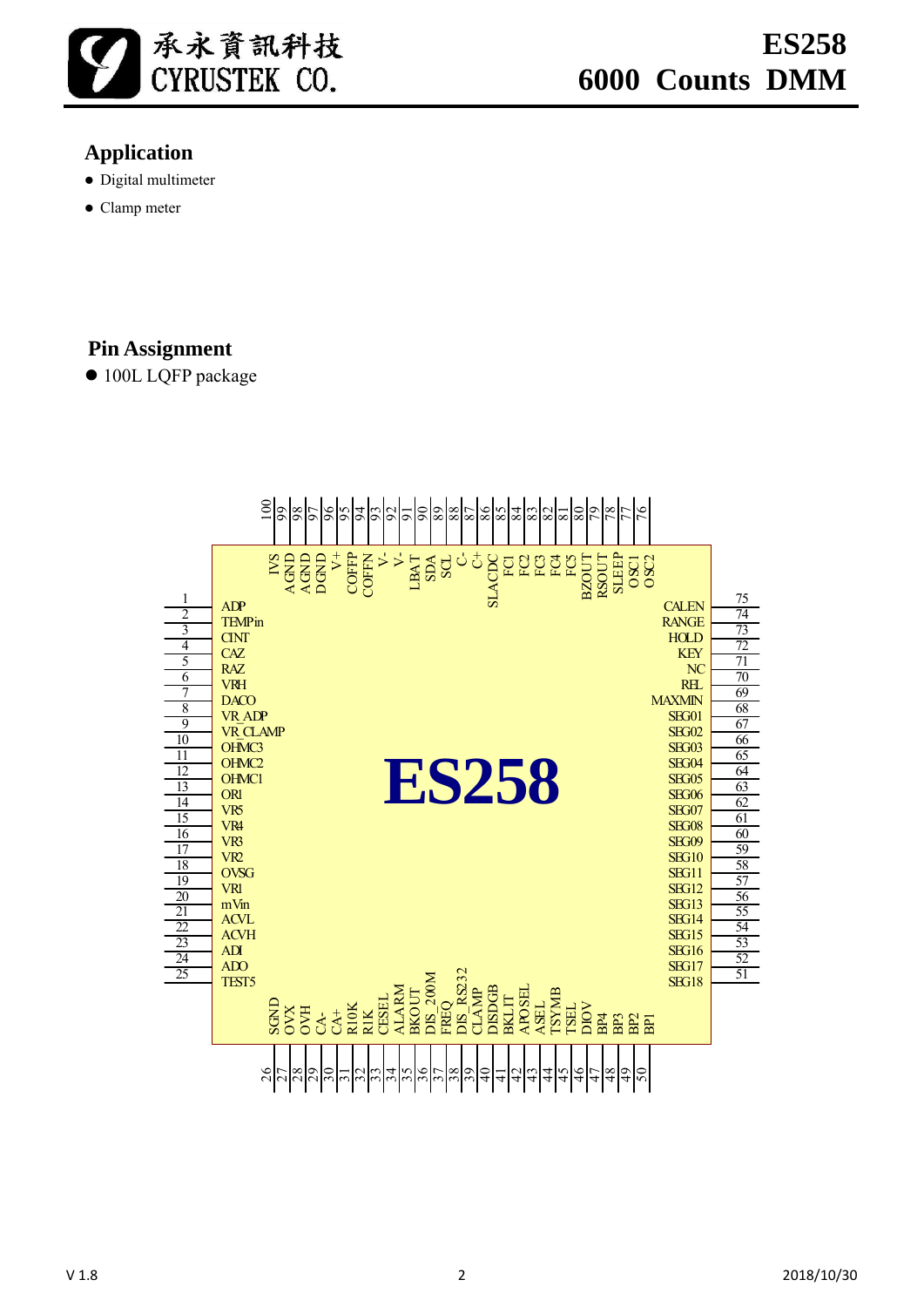

# **Application**

- Digital multimeter
- Clamp meter

# **Pin Assignment**

● 100L LQFP package

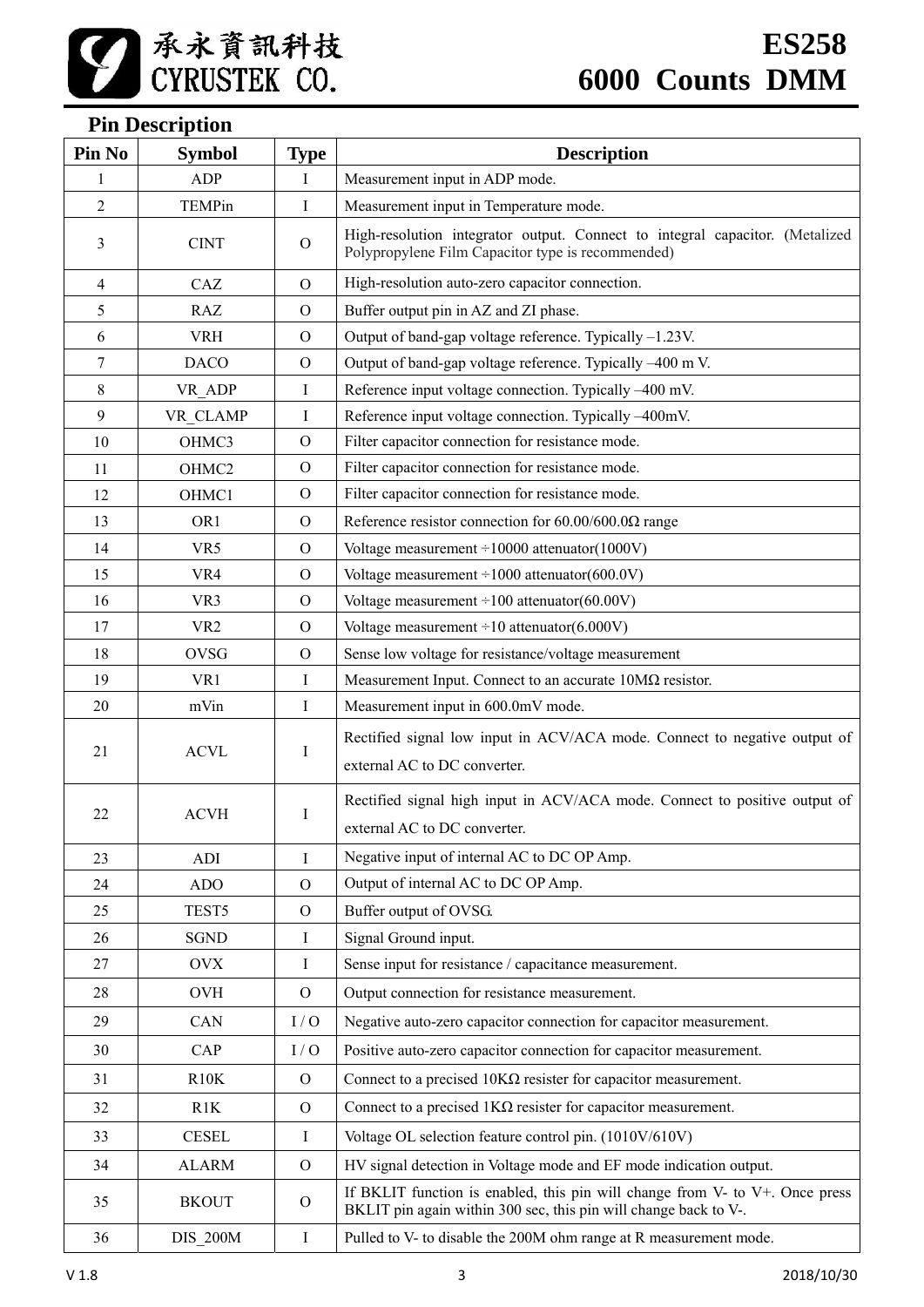# **Pin Description**

| Pin No         | <b>Symbol</b>     | <b>Type</b>  | <b>Description</b>                                                                                                                               |  |
|----------------|-------------------|--------------|--------------------------------------------------------------------------------------------------------------------------------------------------|--|
| 1              | <b>ADP</b>        | I            | Measurement input in ADP mode.                                                                                                                   |  |
| $\overline{2}$ | <b>TEMPin</b>     | I            | Measurement input in Temperature mode.                                                                                                           |  |
| 3              | <b>CINT</b>       | $\Omega$     | High-resolution integrator output. Connect to integral capacitor. (Metalized<br>Polypropylene Film Capacitor type is recommended)                |  |
| 4              | CAZ               | $\Omega$     | High-resolution auto-zero capacitor connection.                                                                                                  |  |
| 5              | <b>RAZ</b>        | $\Omega$     | Buffer output pin in AZ and ZI phase.                                                                                                            |  |
| 6              | <b>VRH</b>        | $\Omega$     | Output of band-gap voltage reference. Typically -1.23V.                                                                                          |  |
| 7              | <b>DACO</b>       | $\Omega$     | Output of band-gap voltage reference. Typically -400 m V.                                                                                        |  |
| 8              | VR ADP            | $\bf{I}$     | Reference input voltage connection. Typically -400 mV.                                                                                           |  |
| 9              | VR CLAMP          | $\bf{I}$     | Reference input voltage connection. Typically -400mV.                                                                                            |  |
| 10             | OHMC3             | $\mathbf{O}$ | Filter capacitor connection for resistance mode.                                                                                                 |  |
| 11             | OHMC2             | $\mathbf{O}$ | Filter capacitor connection for resistance mode.                                                                                                 |  |
| 12             | OHMC1             | $\Omega$     | Filter capacitor connection for resistance mode.                                                                                                 |  |
| 13             | OR <sub>1</sub>   | $\Omega$     | Reference resistor connection for $60.00/600.0\Omega$ range                                                                                      |  |
| 14             | VR5               | $\Omega$     | Voltage measurement $\div 10000$ attenuator(1000V)                                                                                               |  |
| 15             | VR4               | $\Omega$     | Voltage measurement $\div 1000$ attenuator(600.0V)                                                                                               |  |
| 16             | VR <sub>3</sub>   | $\Omega$     | Voltage measurement $\div 100$ attenuator(60.00V)                                                                                                |  |
| 17             | VR <sub>2</sub>   | $\Omega$     | Voltage measurement $\div 10$ attenuator(6.000V)                                                                                                 |  |
| 18             | <b>OVSG</b>       | $\Omega$     | Sense low voltage for resistance/voltage measurement                                                                                             |  |
| 19             | VR1               | Ι            | Measurement Input. Connect to an accurate $10M\Omega$ resistor.                                                                                  |  |
| 20             | mVin              | Ι            | Measurement input in 600.0mV mode.                                                                                                               |  |
|                |                   |              | Rectified signal low input in ACV/ACA mode. Connect to negative output of                                                                        |  |
| 21             | <b>ACVL</b>       | Ι            | external AC to DC converter.                                                                                                                     |  |
| 22             | <b>ACVH</b>       | I            | Rectified signal high input in ACV/ACA mode. Connect to positive output of                                                                       |  |
|                |                   |              | external AC to DC converter.                                                                                                                     |  |
| 23             | ADI               | I            | Negative input of internal AC to DC OP Amp.                                                                                                      |  |
| 24             | <b>ADO</b>        | $\Omega$     | Output of internal AC to DC OP Amp.                                                                                                              |  |
| 25             | TEST <sub>5</sub> | $\Omega$     | Buffer output of OVSG.                                                                                                                           |  |
| 26             | <b>SGND</b>       | I            | Signal Ground input.                                                                                                                             |  |
| 27             | <b>OVX</b>        | I            | Sense input for resistance / capacitance measurement.                                                                                            |  |
| 28             | <b>OVH</b>        | $\mathbf{O}$ | Output connection for resistance measurement.                                                                                                    |  |
| 29             | CAN               | I/O          | Negative auto-zero capacitor connection for capacitor measurement.                                                                               |  |
| 30             | CAP               | I/O          | Positive auto-zero capacitor connection for capacitor measurement.                                                                               |  |
| 31             | R10K              | $\Omega$     | Connect to a precised $10K\Omega$ resister for capacitor measurement.                                                                            |  |
| 32             | R <sub>1</sub> K  | $\mathbf{O}$ | Connect to a precised $1K\Omega$ resister for capacitor measurement.                                                                             |  |
| 33             | <b>CESEL</b>      | Ι            | Voltage OL selection feature control pin. (1010V/610V)                                                                                           |  |
| 34             | <b>ALARM</b>      | $\mathbf{O}$ | HV signal detection in Voltage mode and EF mode indication output.                                                                               |  |
| 35             | <b>BKOUT</b>      | $\mathbf{O}$ | If BKLIT function is enabled, this pin will change from V- to V+. Once press<br>BKLIT pin again within 300 sec, this pin will change back to V-. |  |
| 36             | <b>DIS 200M</b>   | $\mathbf I$  | Pulled to V- to disable the 200M ohm range at R measurement mode.                                                                                |  |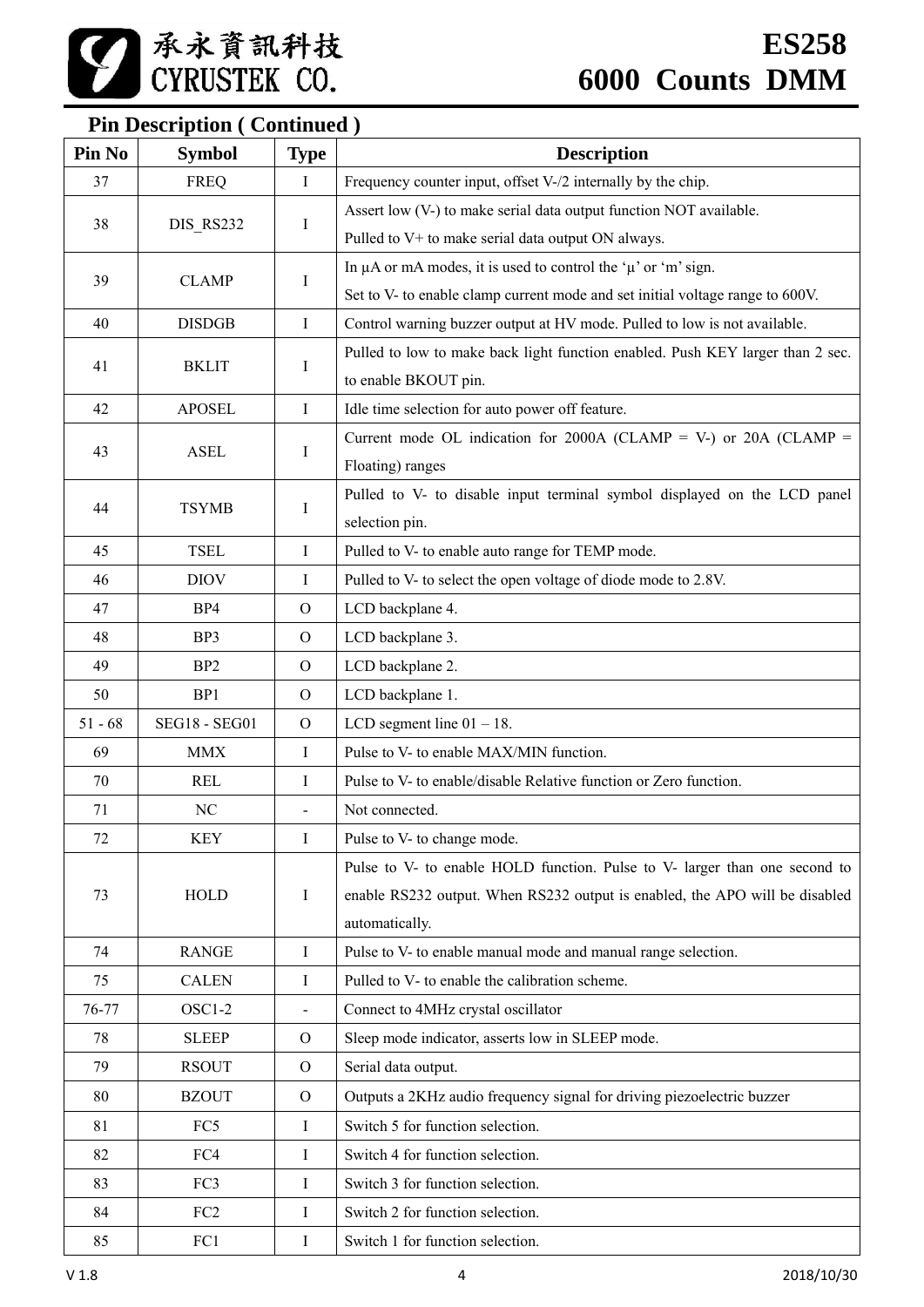# **Pin Description ( Continued )**

| Pin No    | <b>Symbol</b>        | <b>Type</b>    | <b>Description</b>                                                             |  |
|-----------|----------------------|----------------|--------------------------------------------------------------------------------|--|
| 37        | <b>FREQ</b>          | I              | Frequency counter input, offset V-/2 internally by the chip.                   |  |
|           |                      |                | Assert low (V-) to make serial data output function NOT available.             |  |
| 38        | DIS_RS232            | Ι              | Pulled to V+ to make serial data output ON always.                             |  |
|           |                      |                | In $\mu$ A or mA modes, it is used to control the ' $\mu$ ' or 'm' sign.       |  |
| 39        | <b>CLAMP</b>         | Ι              | Set to V- to enable clamp current mode and set initial voltage range to 600V.  |  |
| 40        | <b>DISDGB</b>        | $\mathbf I$    | Control warning buzzer output at HV mode. Pulled to low is not available.      |  |
| 41        |                      |                | Pulled to low to make back light function enabled. Push KEY larger than 2 sec. |  |
|           | <b>BKLIT</b>         | Ι              | to enable BKOUT pin.                                                           |  |
| 42        | <b>APOSEL</b>        | $\bf{I}$       | Idle time selection for auto power off feature.                                |  |
|           |                      |                | Current mode OL indication for 2000A (CLAMP = V-) or 20A (CLAMP =              |  |
| 43        | <b>ASEL</b>          | Ι              | Floating) ranges                                                               |  |
| 44        | <b>TSYMB</b>         |                | Pulled to V- to disable input terminal symbol displayed on the LCD panel       |  |
|           |                      | $\bf{I}$       | selection pin.                                                                 |  |
| 45        | <b>TSEL</b>          | $\mathbf I$    | Pulled to V- to enable auto range for TEMP mode.                               |  |
| 46        | <b>DIOV</b>          | Ι              | Pulled to V- to select the open voltage of diode mode to 2.8V.                 |  |
| 47        | BP4                  | $\overline{O}$ | LCD backplane 4.                                                               |  |
| 48        | BP3                  | $\mathbf{O}$   | LCD backplane 3.                                                               |  |
| 49        | BP <sub>2</sub>      | $\mathcal{O}$  | LCD backplane 2.                                                               |  |
| 50        | BP1                  | $\mathbf{O}$   | LCD backplane 1.                                                               |  |
| $51 - 68$ | <b>SEG18 - SEG01</b> | $\mathbf{O}$   | LCD segment line $01 - 18$ .                                                   |  |
| 69        | <b>MMX</b>           | $\bf{I}$       | Pulse to V- to enable MAX/MIN function.                                        |  |
| 70        | <b>REL</b>           | Ι              | Pulse to V- to enable/disable Relative function or Zero function.              |  |
| 71        | NC                   | $\blacksquare$ | Not connected.                                                                 |  |
| 72        | KEY                  | Ι.             | Pulse to V- to change mode.                                                    |  |
|           |                      |                | Pulse to V- to enable HOLD function. Pulse to V- larger than one second to     |  |
| 73        | <b>HOLD</b>          | Ι              | enable RS232 output. When RS232 output is enabled, the APO will be disabled    |  |
|           |                      |                | automatically.                                                                 |  |
| 74        | <b>RANGE</b>         | I              | Pulse to V- to enable manual mode and manual range selection.                  |  |
| 75        | <b>CALEN</b>         | Ι              | Pulled to V- to enable the calibration scheme.                                 |  |
| 76-77     | OSC1-2               | $\blacksquare$ | Connect to 4MHz crystal oscillator                                             |  |
| 78        | <b>SLEEP</b>         | $\mathbf{O}$   | Sleep mode indicator, asserts low in SLEEP mode.                               |  |
| 79        | <b>RSOUT</b>         | $\mathbf{O}$   | Serial data output.                                                            |  |
| 80        | <b>BZOUT</b>         | $\Omega$       | Outputs a 2KHz audio frequency signal for driving piezoelectric buzzer         |  |
| 81        | FC5                  | Ι              | Switch 5 for function selection.                                               |  |
| 82        | FC4                  | Ι              | Switch 4 for function selection.                                               |  |
| 83        | FC3                  | I              | Switch 3 for function selection.                                               |  |
| 84        | FC <sub>2</sub>      | Ι              | Switch 2 for function selection.                                               |  |
| 85        | FC1                  | Ι              | Switch 1 for function selection.                                               |  |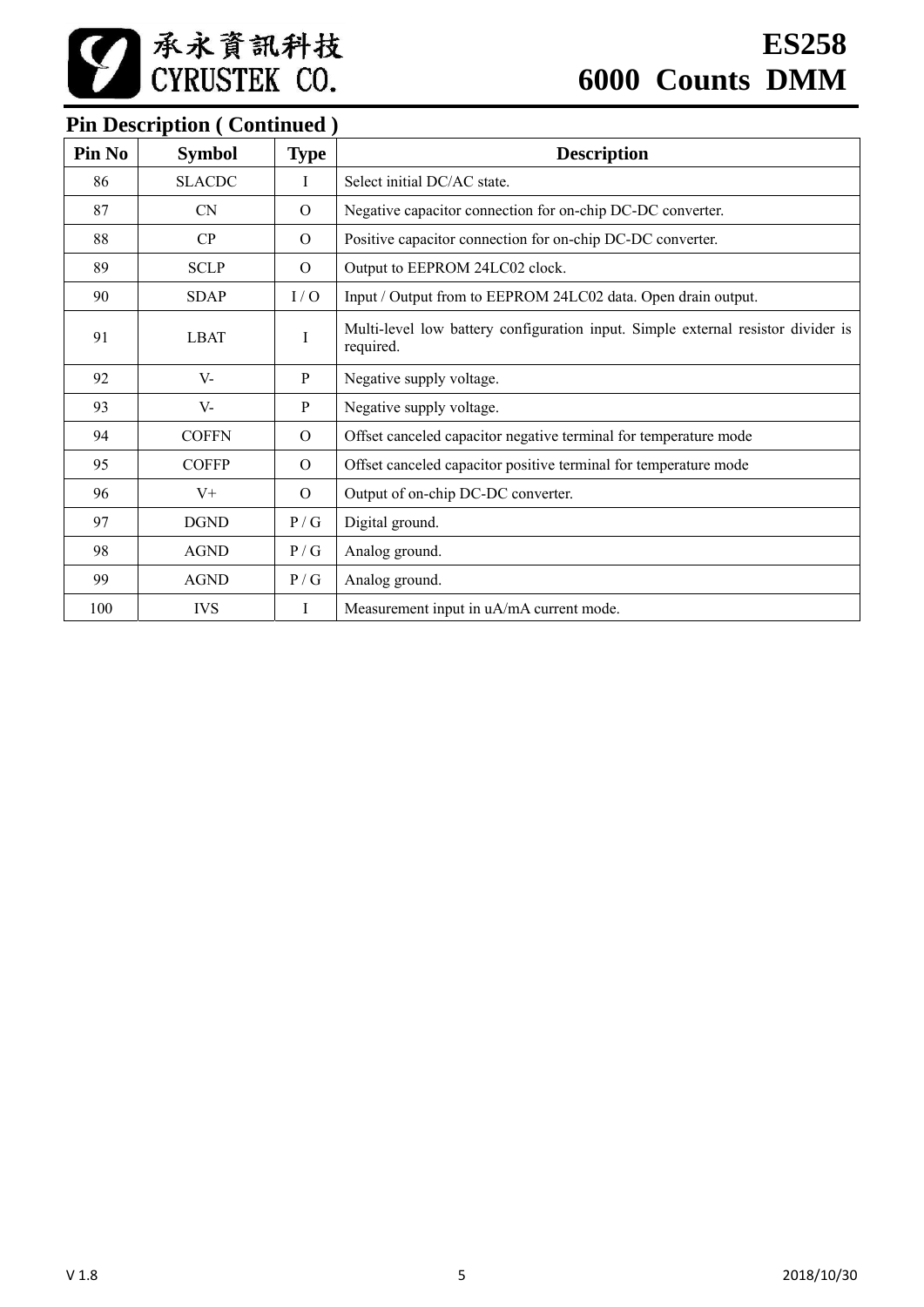# **Pin Description ( Continued )**

| Pin No | <b>Symbol</b> | <b>Type</b>  | <b>Description</b>                                                                            |
|--------|---------------|--------------|-----------------------------------------------------------------------------------------------|
| 86     | <b>SLACDC</b> | $\mathbf{I}$ | Select initial DC/AC state.                                                                   |
| 87     | <b>CN</b>     | $\Omega$     | Negative capacitor connection for on-chip DC-DC converter.                                    |
| 88     | CP            | $\Omega$     | Positive capacitor connection for on-chip DC-DC converter.                                    |
| 89     | <b>SCLP</b>   | $\Omega$     | Output to EEPROM 24LC02 clock.                                                                |
| 90     | <b>SDAP</b>   | I/O          | Input / Output from to EEPROM 24LC02 data. Open drain output.                                 |
| 91     | <b>LBAT</b>   | I            | Multi-level low battery configuration input. Simple external resistor divider is<br>required. |
| 92     | $V -$         | P            | Negative supply voltage.                                                                      |
| 93     | $V -$         | $\mathbf{P}$ | Negative supply voltage.                                                                      |
| 94     | <b>COFFN</b>  | $\Omega$     | Offset canceled capacitor negative terminal for temperature mode                              |
| 95     | <b>COFFP</b>  | $\Omega$     | Offset canceled capacitor positive terminal for temperature mode                              |
| 96     | $V^+$         | $\Omega$     | Output of on-chip DC-DC converter.                                                            |
| 97     | <b>DGND</b>   | P/G          | Digital ground.                                                                               |
| 98     | <b>AGND</b>   | P/G          | Analog ground.                                                                                |
| 99     | <b>AGND</b>   | P/G          | Analog ground.                                                                                |
| 100    | <b>IVS</b>    | T            | Measurement input in uA/mA current mode.                                                      |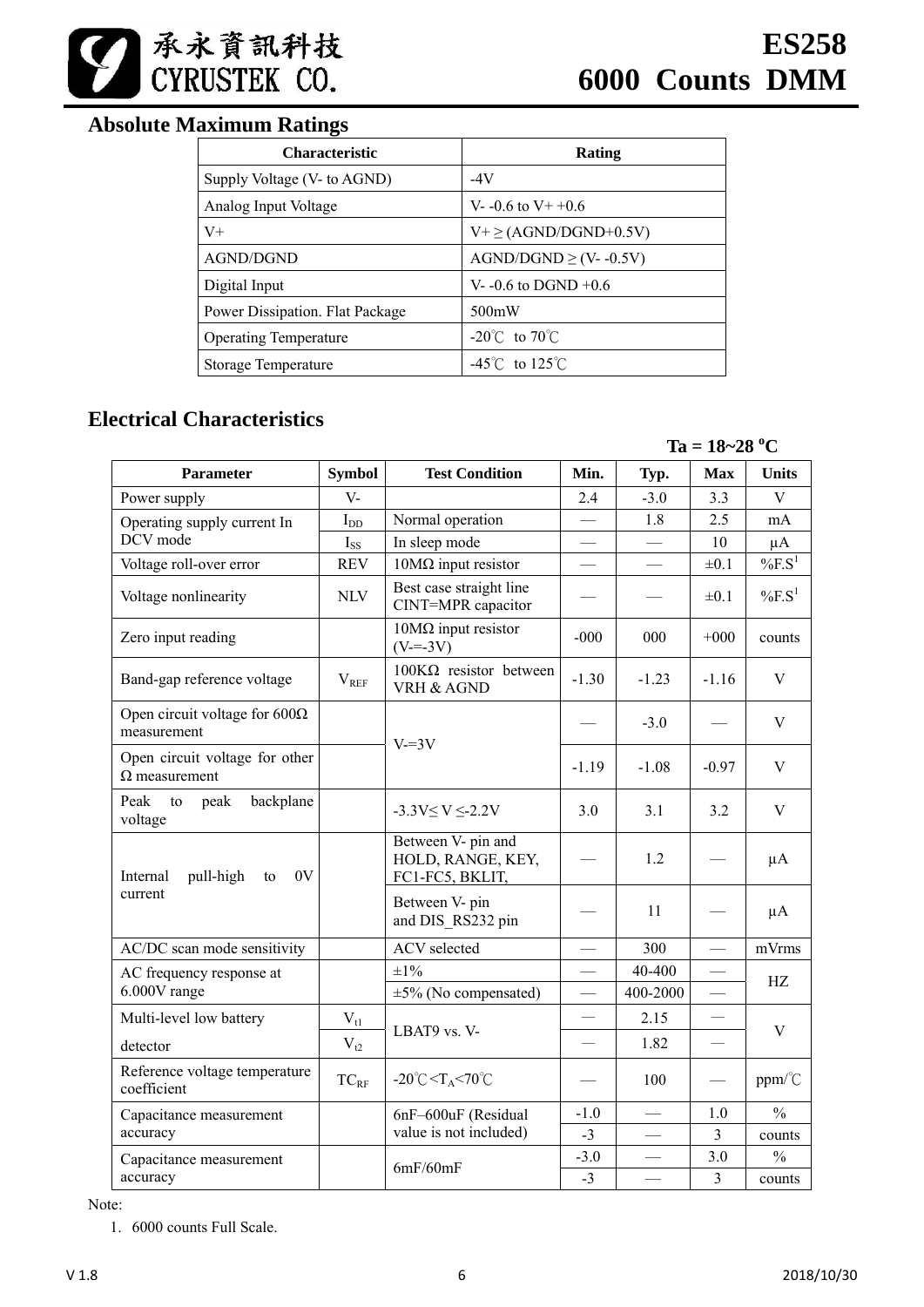

# **Absolute Maximum Ratings**

| <b>Characteristic</b>           | Rating                              |
|---------------------------------|-------------------------------------|
| Supply Voltage (V- to AGND)     | -4V                                 |
| Analog Input Voltage            | V- $-0.6$ to V + $+0.6$             |
| $V_{+}$                         | $V^+ \geq (AGND/DGND+0.5V)$         |
| AGND/DGND                       | $AGND/DGND \ge (V-0.5V)$            |
| Digital Input                   | V- $-0.6$ to DGND $+0.6$            |
| Power Dissipation. Flat Package | 500mW                               |
| <b>Operating Temperature</b>    | -20 $\degree$ C to 70 $\degree$ C   |
| Storage Temperature             | $-45^{\circ}$ C to 125 $^{\circ}$ C |

# **Electrical Characteristics**

 $Ta = 18 - 28 °C$ 

| <b>Symbol</b><br>Parameter                             |              | <b>Test Condition</b>                                        | Min.                     | Typ.     | <b>Max</b>               | <b>Units</b>          |
|--------------------------------------------------------|--------------|--------------------------------------------------------------|--------------------------|----------|--------------------------|-----------------------|
| Power supply                                           | $V -$        |                                                              | 2.4                      | $-3.0$   | 3.3                      | V                     |
| Operating supply current In                            | $I_{DD}$     | Normal operation                                             | $\overline{\phantom{0}}$ | 1.8      | 2.5                      | mA                    |
| DCV mode                                               | $I_{SS}$     | In sleep mode                                                |                          |          | 10                       | $\mu A$               |
| Voltage roll-over error                                | <b>REV</b>   | $10M\Omega$ input resistor                                   |                          |          | $\pm 0.1$                | $%F.S^1$              |
| Voltage nonlinearity                                   | <b>NLV</b>   | Best case straight line<br>CINT=MPR capacitor                |                          |          | $\pm 0.1$                | $\%$ F.S <sup>1</sup> |
| Zero input reading                                     |              | $10M\Omega$ input resistor<br>$(V=-3V)$                      | $-000$                   | 000      | $+000$                   | counts                |
| Band-gap reference voltage                             | $V_{REF}$    | $100K\Omega$ resistor between<br>VRH & AGND                  | $-1.30$                  | $-1.23$  | $-1.16$                  | V                     |
| Open circuit voltage for $600\Omega$<br>measurement    |              |                                                              |                          | $-3.0$   |                          | V                     |
| Open circuit voltage for other<br>$\Omega$ measurement |              | $V=3V$                                                       | $-1.19$                  | $-1.08$  | $-0.97$                  | V                     |
| Peak<br>peak<br>backplane<br>to<br>voltage             |              | $-3.3V \le V \le 2.2V$                                       | 3.0                      | 3.1      | 3.2                      | $\mathbf V$           |
| Internal<br>pull-high<br>0V<br>to                      |              | Between V- pin and<br>HOLD, RANGE, KEY,<br>FC1-FC5, BKLIT,   |                          | 1.2      |                          | $\mu A$               |
| current                                                |              | Between V- pin<br>and DIS RS232 pin                          |                          | 11       |                          | $\mu A$               |
| AC/DC scan mode sensitivity                            |              | <b>ACV</b> selected                                          |                          | 300      |                          | mVrms                 |
| AC frequency response at                               |              | $\pm 1\%$                                                    | $\overline{\phantom{a}}$ | 40-400   |                          | HZ                    |
| 6.000V range                                           |              | $\pm 5\%$ (No compensated)                                   | $\overline{\phantom{0}}$ | 400-2000 | $\overline{\phantom{0}}$ |                       |
| Multi-level low battery                                | $\rm V_{t1}$ |                                                              |                          | 2.15     |                          |                       |
| detector                                               | $V_{t2}$     | LBAT9 vs. V-                                                 |                          | 1.82     |                          | V                     |
| Reference voltage temperature<br>coefficient           | $TC_{RF}$    | $-20^{\circ}$ C <t<sub>A&lt;70<math>^{\circ}</math>C</t<sub> |                          | 100      |                          | ppm/°C                |
| Capacitance measurement                                |              | 6nF-600uF (Residual                                          | $-1.0$                   |          | 1.0                      | $\frac{0}{0}$         |
| accuracy                                               |              | value is not included)                                       | $-3$                     |          | 3                        | counts                |
| Capacitance measurement                                |              |                                                              | $-3.0$                   |          | 3.0                      | $\frac{0}{0}$         |
| accuracy                                               | 6mF/60mF     |                                                              | $-3$                     |          | 3                        | counts                |

Note:

1. 6000 counts Full Scale.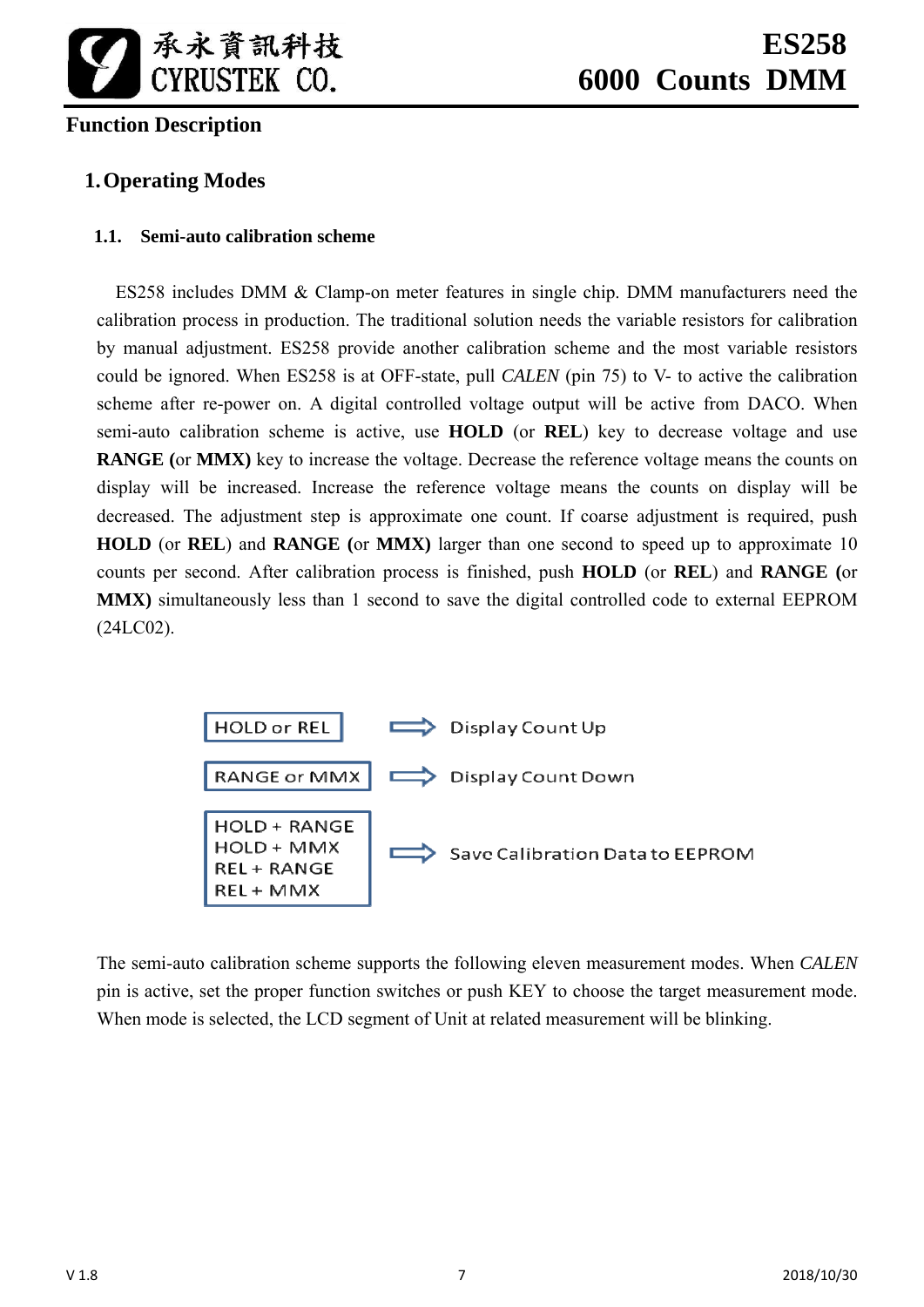

# **Function Description**

# **1.Operating Modes**

# **1.1. Semi-auto calibration scheme**

ES258 includes DMM & Clamp-on meter features in single chip. DMM manufacturers need the calibration process in production. The traditional solution needs the variable resistors for calibration by manual adjustment. ES258 provide another calibration scheme and the most variable resistors could be ignored. When ES258 is at OFF-state, pull *CALEN* (pin 75) to V- to active the calibration scheme after re-power on. A digital controlled voltage output will be active from DACO. When semi-auto calibration scheme is active, use **HOLD** (or **REL**) key to decrease voltage and use **RANGE (**or **MMX)** key to increase the voltage. Decrease the reference voltage means the counts on display will be increased. Increase the reference voltage means the counts on display will be decreased. The adjustment step is approximate one count. If coarse adjustment is required, push **HOLD** (or **REL**) and **RANGE (**or **MMX)** larger than one second to speed up to approximate 10 counts per second. After calibration process is finished, push **HOLD** (or **REL**) and **RANGE (**or **MMX)** simultaneously less than 1 second to save the digital controlled code to external EEPROM (24LC02).



The semi-auto calibration scheme supports the following eleven measurement modes. When *CALEN* pin is active, set the proper function switches or push KEY to choose the target measurement mode. When mode is selected, the LCD segment of Unit at related measurement will be blinking.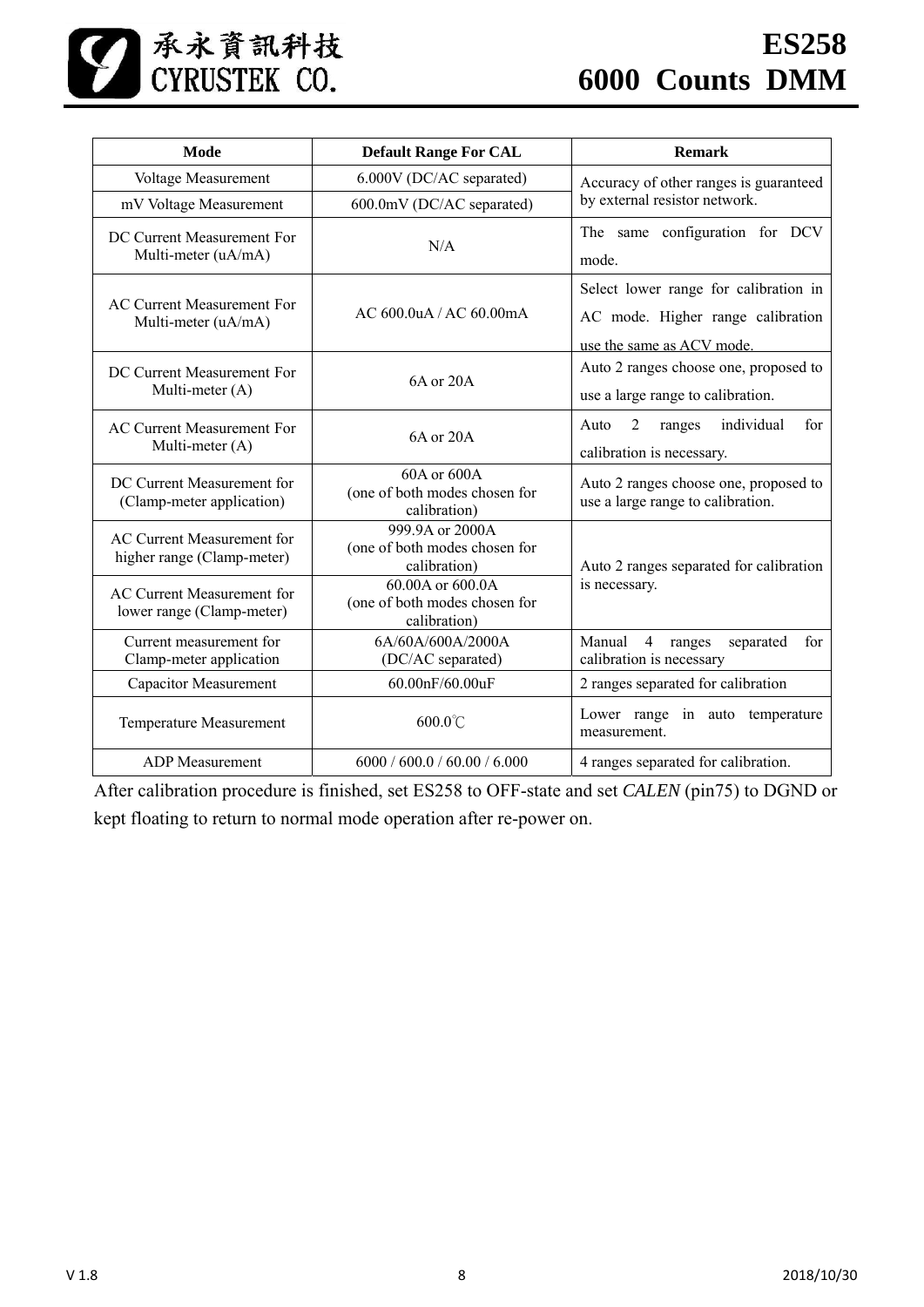

| Mode                                                     | <b>Default Range For CAL</b>                                      | <b>Remark</b>                                                                                           |  |
|----------------------------------------------------------|-------------------------------------------------------------------|---------------------------------------------------------------------------------------------------------|--|
| Voltage Measurement                                      | 6.000V (DC/AC separated)                                          | Accuracy of other ranges is guaranteed                                                                  |  |
| mV Voltage Measurement                                   | 600.0mV (DC/AC separated)                                         | by external resistor network.                                                                           |  |
| DC Current Measurement For<br>Multi-meter (uA/mA)        | N/A                                                               | The same configuration for DCV<br>mode.                                                                 |  |
| <b>AC Current Measurement For</b><br>Multi-meter (uA/mA) | AC 600.0 uA / AC 60.00 mA                                         | Select lower range for calibration in<br>AC mode. Higher range calibration<br>use the same as ACV mode. |  |
| DC Current Measurement For<br>Multi-meter (A)            | 6A or 20A                                                         | Auto 2 ranges choose one, proposed to<br>use a large range to calibration.                              |  |
| <b>AC Current Measurement For</b><br>Multi-meter (A)     | 6A or 20A                                                         | individual<br>$\overline{2}$<br>Auto<br>ranges<br>for<br>calibration is necessary.                      |  |
| DC Current Measurement for<br>(Clamp-meter application)  | 60A or 600A<br>(one of both modes chosen for<br>calibration)      | Auto 2 ranges choose one, proposed to<br>use a large range to calibration.                              |  |
| AC Current Measurement for<br>higher range (Clamp-meter) | 999.9A or 2000A<br>(one of both modes chosen for<br>calibration)  | Auto 2 ranges separated for calibration                                                                 |  |
| AC Current Measurement for<br>lower range (Clamp-meter)  | 60.00A or 600.0A<br>(one of both modes chosen for<br>calibration) | is necessary.                                                                                           |  |
| Current measurement for<br>Clamp-meter application       | 6A/60A/600A/2000A<br>(DC/AC separated)                            | Manual<br>4<br>ranges<br>separated<br>for<br>calibration is necessary                                   |  |
| <b>Capacitor Measurement</b>                             | 60.00nF/60.00uF                                                   | 2 ranges separated for calibration                                                                      |  |
| Temperature Measurement                                  | $600.0^{\circ}$ C                                                 | Lower range in auto temperature<br>measurement.                                                         |  |
| <b>ADP</b> Measurement                                   | 6000 / 600.0 / 60.00 / 6.000                                      | 4 ranges separated for calibration.                                                                     |  |

After calibration procedure is finished, set ES258 to OFF-state and set *CALEN* (pin75) to DGND or kept floating to return to normal mode operation after re-power on.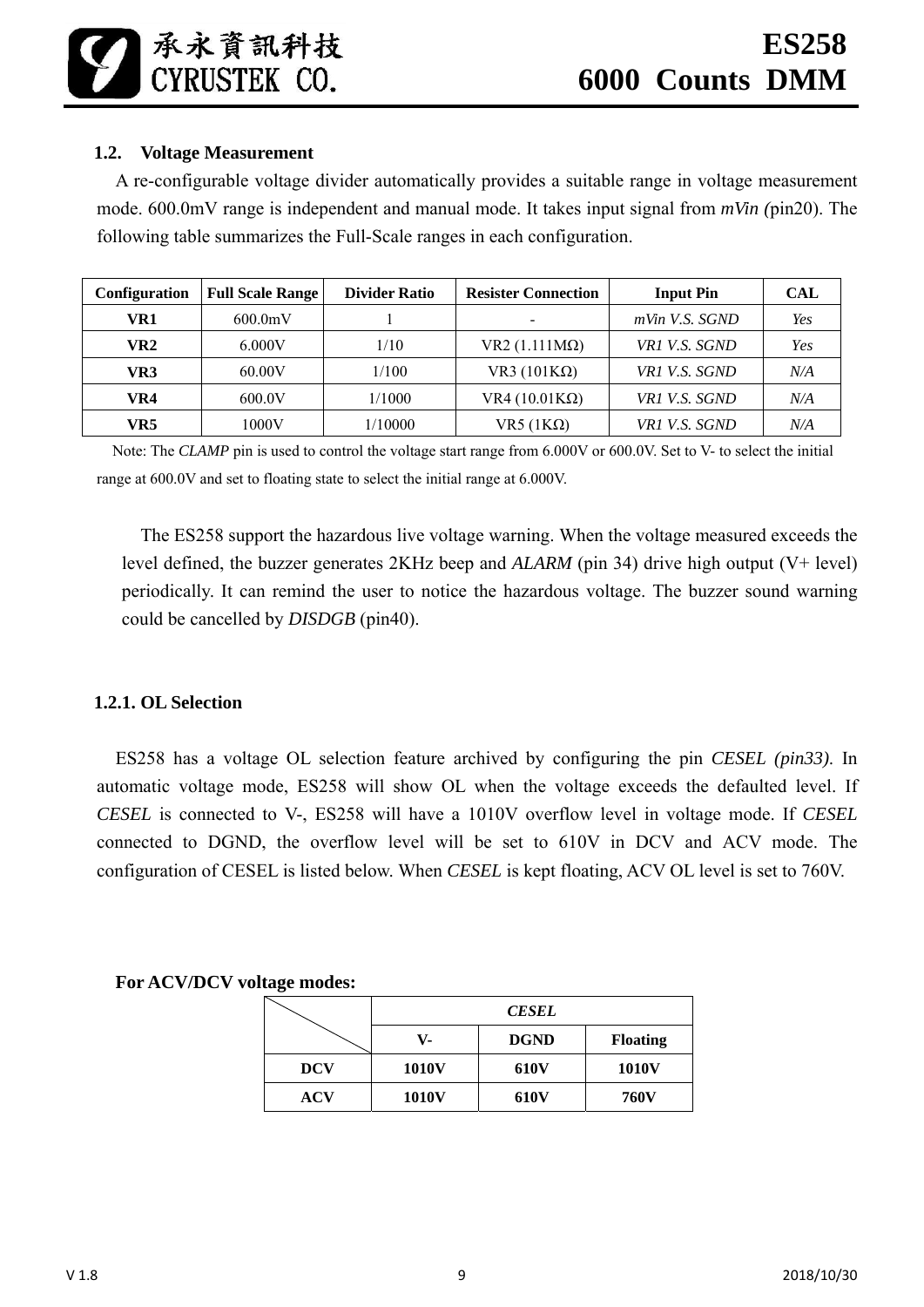承永資訊科技<br>CYRUSTEK CO.

# **1.2. Voltage Measurement**

A re-configurable voltage divider automatically provides a suitable range in voltage measurement mode. 600.0mV range is independent and manual mode. It takes input signal from *mVin (*pin20). The following table summarizes the Full-Scale ranges in each configuration.

| <b>Configuration</b> | <b>Full Scale Range</b> | <b>Divider Ratio</b> | <b>Resister Connection</b> | <b>Input Pin</b>  | <b>CAL</b> |
|----------------------|-------------------------|----------------------|----------------------------|-------------------|------------|
| VR1                  | 600.0mV                 |                      | $\overline{\phantom{a}}$   | $mV$ in V.S. SGND | Yes        |
| VR2                  | 6.000V                  | 1/10                 | $VR2 (1.111 M\Omega)$      | VR1 V.S. SGND     | Yes        |
| VR3                  | 60.00V                  | 1/100                | VR3 $(101K\Omega)$         | VR1 V.S. SGND     | N/A        |
| VR4                  | 600.0V                  | 1/1000               | VR4 $(10.01K\Omega)$       | VR1 V.S. SGND     | N/A        |
| VR5                  | 1000V                   | 1/10000              | VR5 $(1K\Omega)$           | VR1 V.S. SGND     | N/A        |

Note: The *CLAMP* pin is used to control the voltage start range from 6.000V or 600.0V. Set to V- to select the initial range at 600.0V and set to floating state to select the initial range at 6.000V.

The ES258 support the hazardous live voltage warning. When the voltage measured exceeds the level defined, the buzzer generates 2KHz beep and *ALARM* (pin 34) drive high output (V+ level) periodically. It can remind the user to notice the hazardous voltage. The buzzer sound warning could be cancelled by *DISDGB* (pin40).

# **1.2.1. OL Selection**

ES258 has a voltage OL selection feature archived by configuring the pin *CESEL (pin33)*. In automatic voltage mode, ES258 will show OL when the voltage exceeds the defaulted level. If *CESEL* is connected to V-, ES258 will have a 1010V overflow level in voltage mode. If *CESEL* connected to DGND, the overflow level will be set to 610V in DCV and ACV mode. The configuration of CESEL is listed below. When *CESEL* is kept floating, ACV OL level is set to 760V.

# **For ACV/DCV voltage modes:**

|            |       | <b>CESEL</b> |                 |
|------------|-------|--------------|-----------------|
|            | V-    | <b>DGND</b>  | <b>Floating</b> |
| <b>DCV</b> | 1010V | <b>610V</b>  | <b>1010V</b>    |
| ACV        | 1010V | <b>610V</b>  | <b>760V</b>     |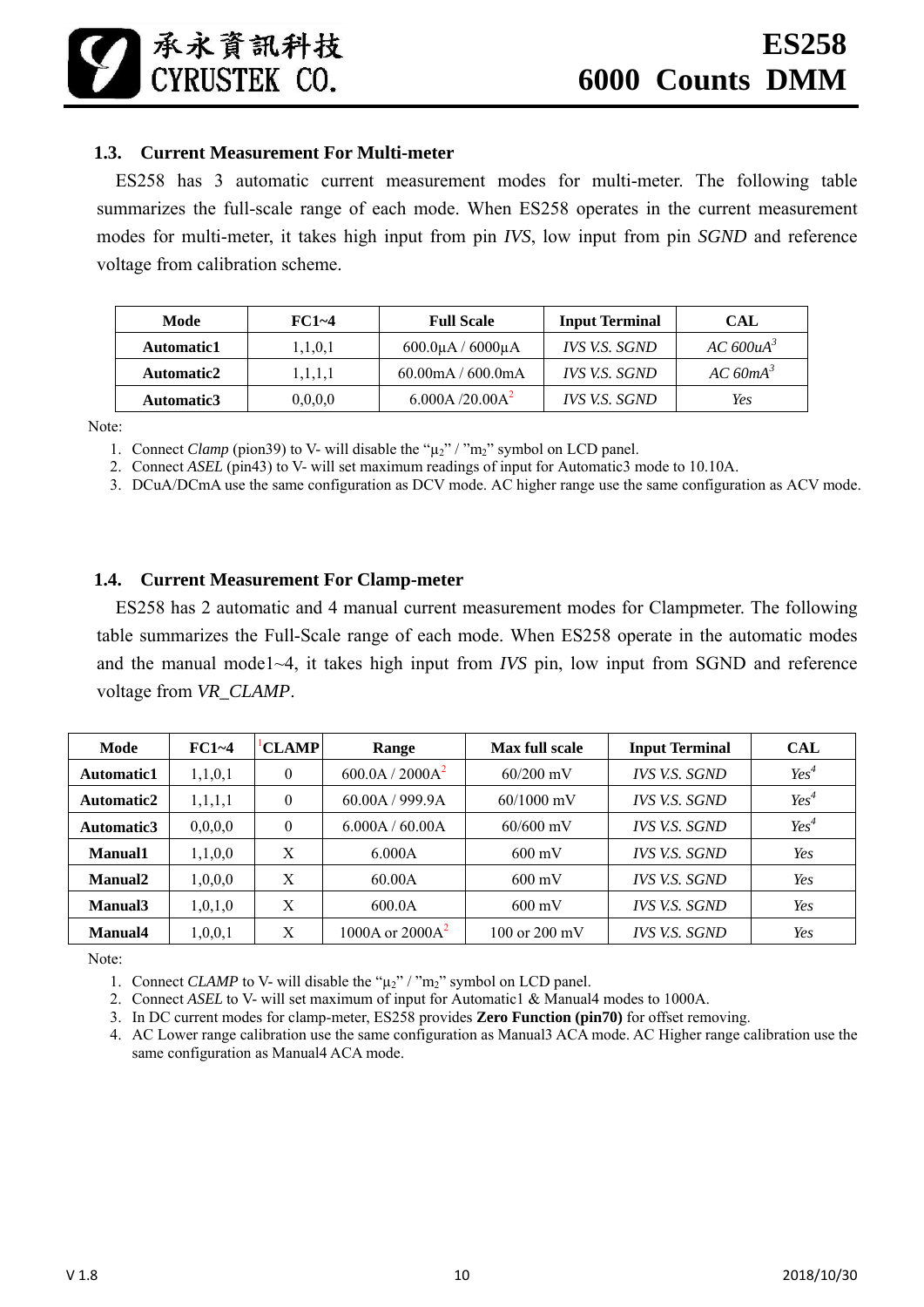#### **1.3. Current Measurement For Multi-meter**

承永資訊科技 CYRUSTEK CO.

ES258 has 3 automatic current measurement modes for multi-meter. The following table summarizes the full-scale range of each mode. When ES258 operates in the current measurement modes for multi-meter, it takes high input from pin *IVS*, low input from pin *SGND* and reference voltage from calibration scheme.

| Mode              | $FC1 - 4$ | <b>Full Scale</b>                   | <b>Input Terminal</b> | CAL                   |
|-------------------|-----------|-------------------------------------|-----------------------|-----------------------|
| <b>Automatic1</b> | 1,1,0,1   | $600.0\mu$ A / $6000\mu$ A          | IVS V.S. SGND         | AC 600uA <sup>3</sup> |
| Automatic2        | 1,1,1,1   | $60.00 \text{mA} / 600.0 \text{mA}$ | IVS V.S. SGND         | $AC$ 60m $A^3$        |
| Automatic3        | 0,0,0,0   | 6.000A/20.00A <sup>2</sup>          | IVS V.S. SGND         | Yes                   |

Note:

1. Connect *Clamp* (pion39) to V- will disable the " $\mu_2$ " / "m<sub>2</sub>" symbol on LCD panel.

2. Connect *ASEL* (pin43) to V- will set maximum readings of input for Automatic3 mode to 10.10A.

3. DCuA/DCmA use the same configuration as DCV mode. AC higher range use the same configuration as ACV mode.

#### **1.4. Current Measurement For Clamp-meter**

ES258 has 2 automatic and 4 manual current measurement modes for Clampmeter. The following table summarizes the Full-Scale range of each mode. When ES258 operate in the automatic modes and the manual mode1~4, it takes high input from *IVS* pin, low input from SGND and reference voltage from *VR\_CLAMP*.

| Mode                | $FC1 - 4$  | <b>CLAMP</b> | Range                       | Max full scale          | <b>Input Terminal</b> | <b>CAL</b> |
|---------------------|------------|--------------|-----------------------------|-------------------------|-----------------------|------------|
| Automatic1          | 1,1,0,1    | 0            | 600.0A / 2000A <sup>2</sup> | $60/200$ mV             | IVS V.S. SGND         | $Yes^4$    |
| Automatic2          | 1, 1, 1, 1 | $\theta$     | 60.00A / 999.9A             | $60/1000$ mV            | <b>IVS V.S. SGND</b>  | $Yes^4$    |
| Automatic3          | 0,0,0,0    | 0            | 6.000A / 60.00A             | $60/600$ mV             | <i>IVS V.S. SGND</i>  | $Yes^4$    |
| Manual1             | 1,1,0,0    | X            | 6.000A                      | $600 \text{ mV}$        | <b>IVS V.S. SGND</b>  | Yes        |
| Manual <sub>2</sub> | 1,0,0,0    | X            | 60.00A                      | $600 \text{ mV}$        | IVS V.S. SGND         | Yes        |
| Manual3             | 1,0,1,0    | X            | 600.0A                      | $600 \text{ mV}$        | <i>IVS V.S. SGND</i>  | Yes        |
| Manual4             | 1,0,0,1    | X            | 1000A or $2000A2$           | 100 or $200 \text{ mV}$ | IVS V.S. SGND         | Yes        |

Note:

1. Connect *CLAMP* to V- will disable the " $\mu_2$ " / "m<sub>2</sub>" symbol on LCD panel.

2. Connect *ASEL* to V- will set maximum of input for Automatic1 & Manual4 modes to 1000A.

3. In DC current modes for clamp-meter, ES258 provides **Zero Function (pin70)** for offset removing.

4. AC Lower range calibration use the same configuration as Manual3 ACA mode. AC Higher range calibration use the same configuration as Manual4 ACA mode.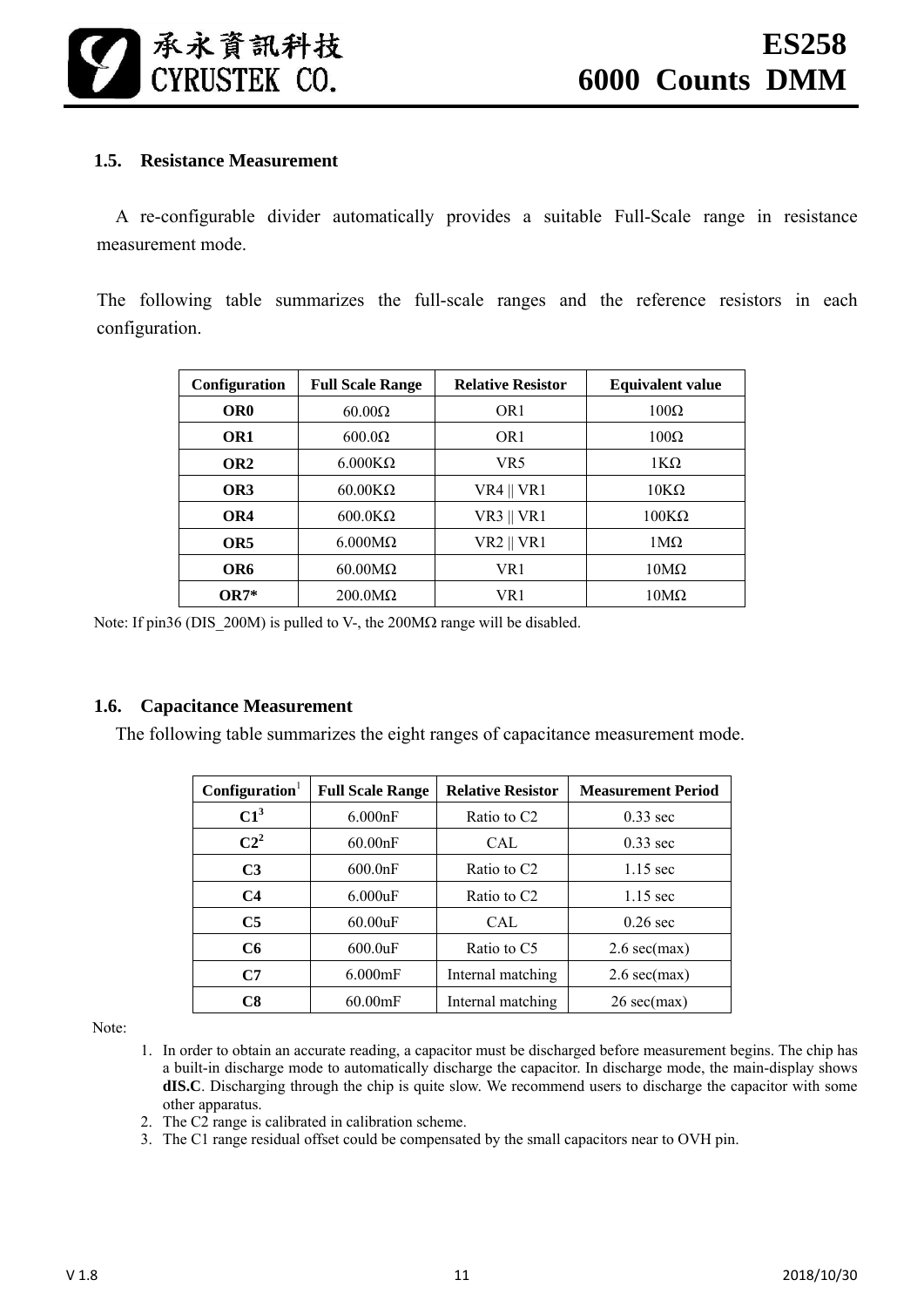

#### **1.5. Resistance Measurement**

A re-configurable divider automatically provides a suitable Full-Scale range in resistance measurement mode.

The following table summarizes the full-scale ranges and the reference resistors in each configuration.

| Configuration   | <b>Full Scale Range</b> | <b>Relative Resistor</b> | <b>Equivalent value</b> |
|-----------------|-------------------------|--------------------------|-------------------------|
| OR <sub>0</sub> | $60.00\Omega$           | OR <sub>1</sub>          | $100\Omega$             |
| OR <sub>1</sub> | $600.0\Omega$           | OR <sub>1</sub>          | $100\Omega$             |
| OR <sub>2</sub> | $6.000K\Omega$          | VR <sub>5</sub>          | $1K\Omega$              |
| OR3             | $60.00K\Omega$          | $VR4$    $VR1$           | $10K\Omega$             |
| OR4             | $600.0K\Omega$          | $VR3 \parallel VR1$      | $100K\Omega$            |
| OR <sub>5</sub> | $6.000M\Omega$          | $VR2 \parallel VR1$      | $1\text{M}\Omega$       |
| OR6             | $60.00 \text{M}\Omega$  | VR1                      | $10M\Omega$             |
| 0R7*            | $200.0 \text{M}\Omega$  | VR 1                     | $10M\Omega$             |

Note: If pin36 (DIS 200M) is pulled to V-, the 200M $\Omega$  range will be disabled.

#### **1.6. Capacitance Measurement**

The following table summarizes the eight ranges of capacitance measurement mode.

| $\mathbf{Configuration}^1$ | <b>Full Scale Range</b> | <b>Relative Resistor</b> | <b>Measurement Period</b>     |
|----------------------------|-------------------------|--------------------------|-------------------------------|
| $C1^3$                     | 6.000nF                 | Ratio to C <sub>2</sub>  | $0.33$ sec                    |
| $C2^2$                     | 60.00nF                 | CAL                      | $0.33$ sec                    |
| C <sub>3</sub>             | 600.0nF                 | Ratio to C <sub>2</sub>  | $1.15$ sec                    |
| C <sub>4</sub>             | 6.000uF                 | Ratio to C <sub>2</sub>  | $1.15$ sec                    |
| C <sub>5</sub>             | 60.00uF                 | CAL.                     | $0.26$ sec                    |
| C6                         | $600.0$ uF              | Ratio to C5              | $2.6 \text{ sec}(\text{max})$ |
| C7                         | $6.000$ mF              | Internal matching        | $2.6 \text{ sec}(\text{max})$ |
| C8                         | $60.00$ mF              | Internal matching        | $26 \text{ sec}(\text{max})$  |

Note:

- 1. In order to obtain an accurate reading, a capacitor must be discharged before measurement begins. The chip has a built-in discharge mode to automatically discharge the capacitor. In discharge mode, the main-display shows **dIS.C**. Discharging through the chip is quite slow. We recommend users to discharge the capacitor with some other apparatus.
- 2. The C2 range is calibrated in calibration scheme.
- 3. The C1 range residual offset could be compensated by the small capacitors near to OVH pin.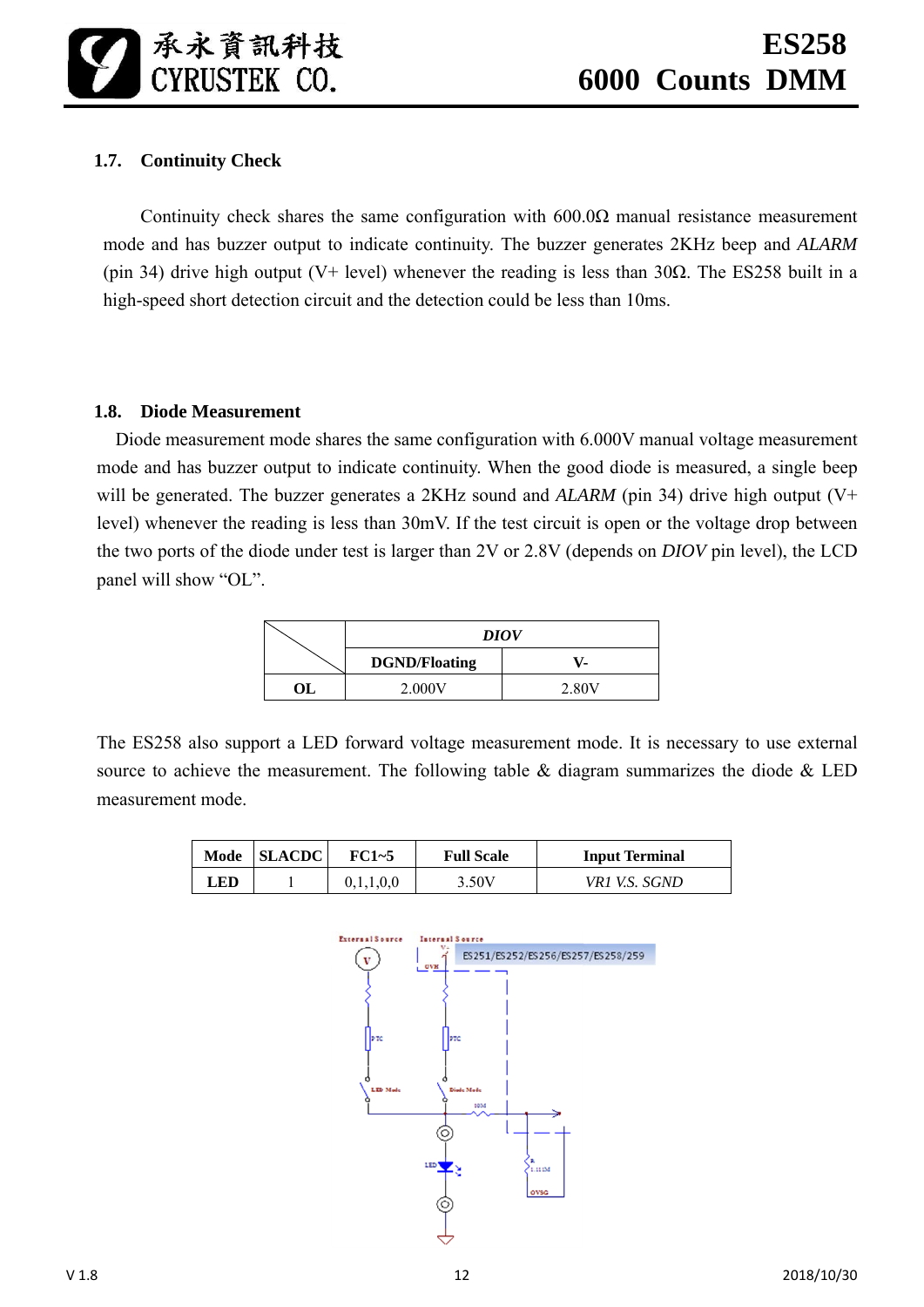# **1.7. Continuity Check**

Continuity check shares the same configuration with  $600.0\Omega$  manual resistance measurement mode and has buzzer output to indicate continuity. The buzzer generates 2KHz beep and *ALARM* (pin 34) drive high output (V+ level) whenever the reading is less than 30 $\Omega$ . The ES258 built in a high-speed short detection circuit and the detection could be less than 10ms.

#### **1.8. Diode Measurement**

Diode measurement mode shares the same configuration with 6.000V manual voltage measurement mode and has buzzer output to indicate continuity. When the good diode is measured, a single beep will be generated. The buzzer generates a 2KHz sound and *ALARM* (pin 34) drive high output (V+ level) whenever the reading is less than 30mV. If the test circuit is open or the voltage drop between the two ports of the diode under test is larger than 2V or 2.8V (depends on *DIOV* pin level), the LCD panel will show "OL".

|    | <b>DIOV</b>          |       |  |  |  |
|----|----------------------|-------|--|--|--|
|    | <b>DGND/Floating</b> |       |  |  |  |
| ОL | 2.000V               | 2.80V |  |  |  |

The ES258 also support a LED forward voltage measurement mode. It is necessary to use external source to achieve the measurement. The following table  $\&$  diagram summarizes the diode  $\&$  LED measurement mode.

| Mode | <b>SLACDC</b> | FC1~5 | <b>Full Scale</b> | <b>Input Terminal</b> |
|------|---------------|-------|-------------------|-----------------------|
| LED. |               |       | 3.50V             | VR1 V.S. SGND         |

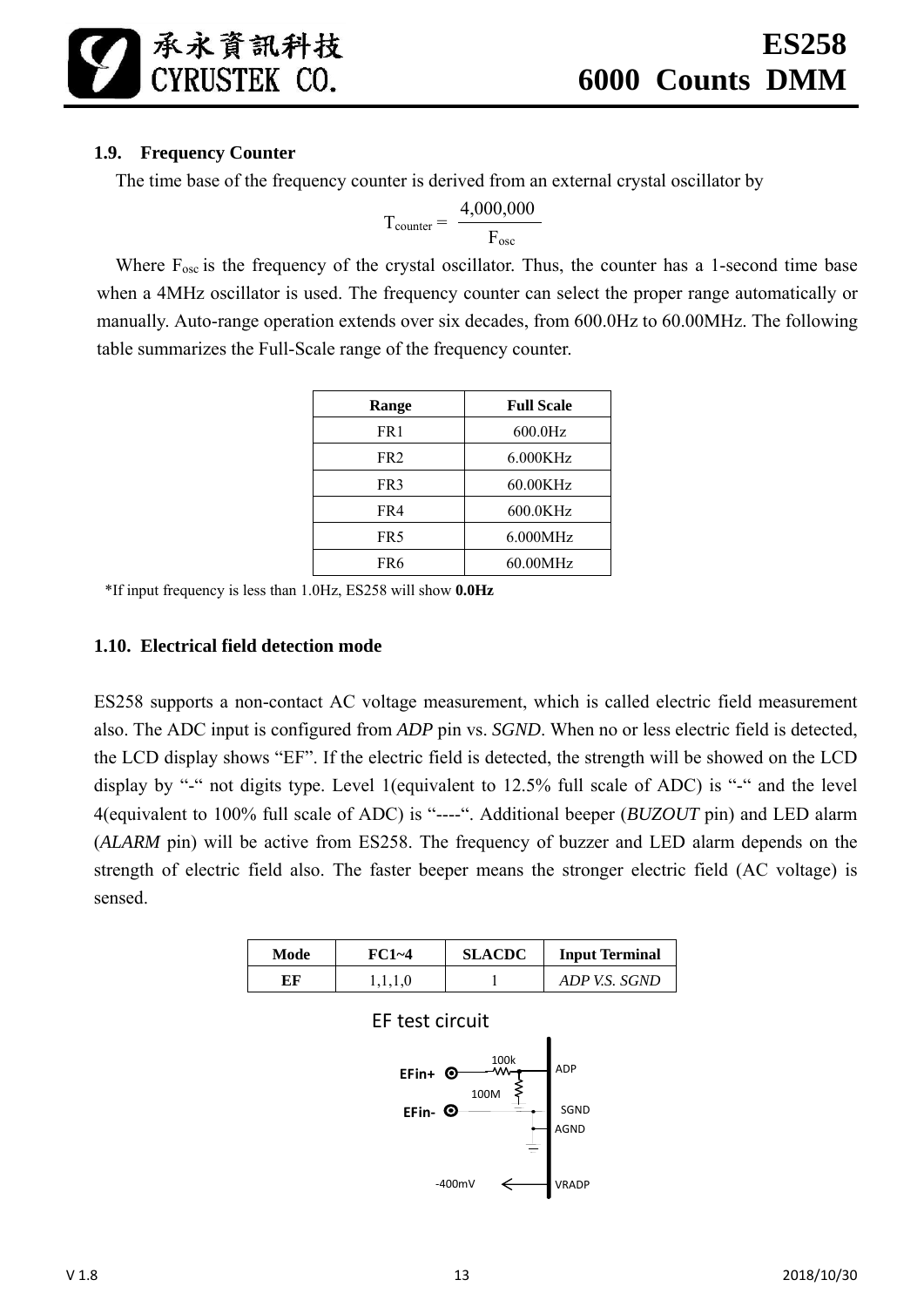# **1.9. Frequency Counter**

The time base of the frequency counter is derived from an external crystal oscillator by

$$
T_{counter} = \frac{4,000,000}{F_{osc}}
$$

Where  $F_{osc}$  is the frequency of the crystal oscillator. Thus, the counter has a 1-second time base when a 4MHz oscillator is used. The frequency counter can select the proper range automatically or manually. Auto-range operation extends over six decades, from 600.0Hz to 60.00MHz. The following table summarizes the Full-Scale range of the frequency counter.

| Range           | <b>Full Scale</b> |
|-----------------|-------------------|
| FR <sub>1</sub> | $600.0$ Hz        |
| FR <sub>2</sub> | 6.000KHz          |
| FR3             | 60.00KHz          |
| FR4             | 600.0KHz          |
| FR <sub>5</sub> | 6.000MHz          |
| FR6             | 60.00MHz          |

\*If input frequency is less than 1.0Hz, ES258 will show **0.0Hz**

# **1.10. Electrical field detection mode**

ES258 supports a non-contact AC voltage measurement, which is called electric field measurement also. The ADC input is configured from *ADP* pin vs. *SGND*. When no or less electric field is detected, the LCD display shows "EF". If the electric field is detected, the strength will be showed on the LCD display by "-" not digits type. Level 1(equivalent to 12.5% full scale of ADC) is "-" and the level 4(equivalent to 100% full scale of ADC) is "----". Additional beeper (*BUZOUT* pin) and LED alarm (*ALARM* pin) will be active from ES258. The frequency of buzzer and LED alarm depends on the strength of electric field also. The faster beeper means the stronger electric field (AC voltage) is sensed.

| Mode | $FC1 - 4$ | <b>SLACDC</b> | <b>Input Terminal</b> |
|------|-----------|---------------|-----------------------|
| EF   |           |               | ADP V.S. SGND         |



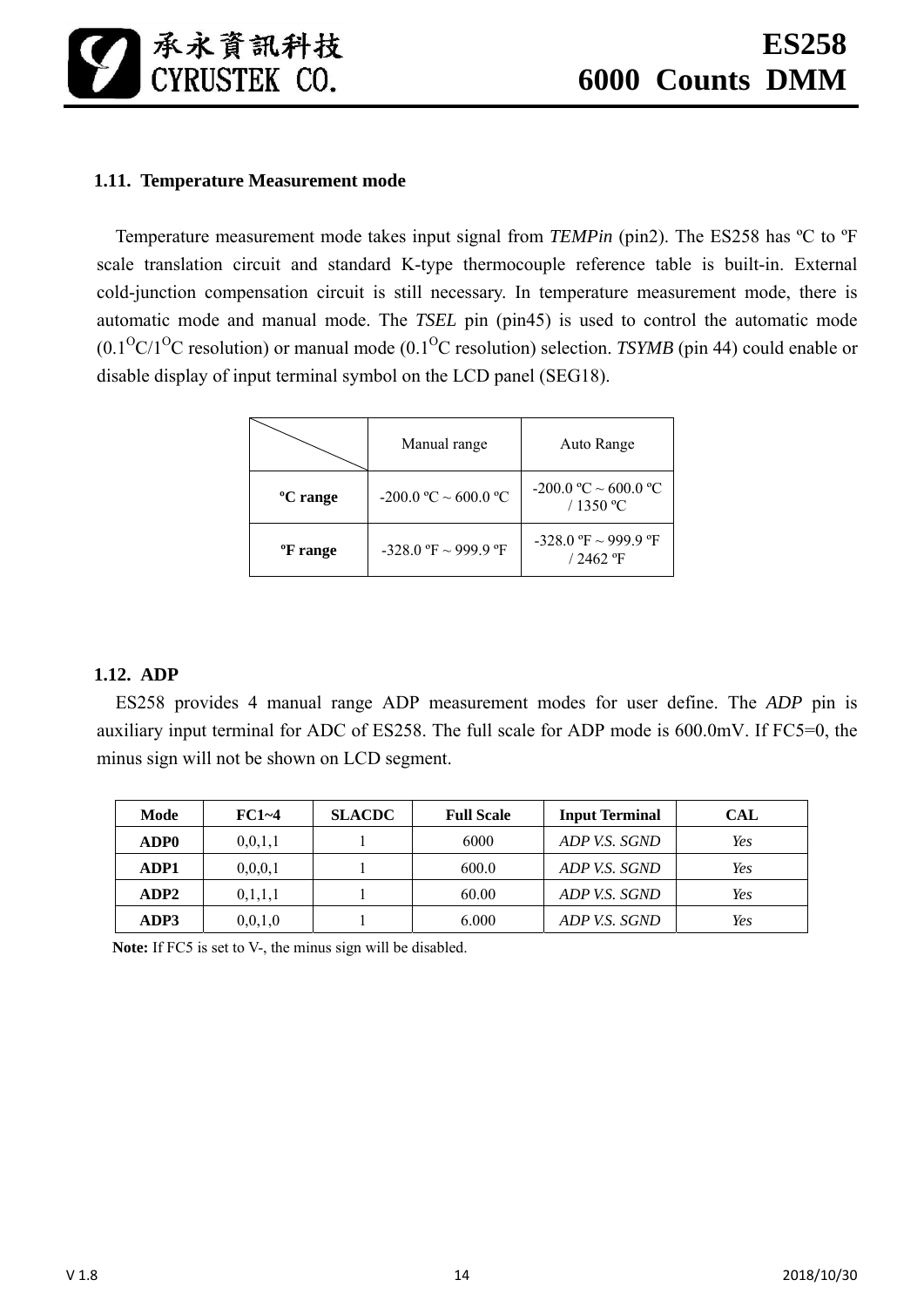

# **1.11. Temperature Measurement mode**

Temperature measurement mode takes input signal from *TEMPin* (pin2). The ES258 has ºC to ºF scale translation circuit and standard K-type thermocouple reference table is built-in. External cold-junction compensation circuit is still necessary. In temperature measurement mode, there is automatic mode and manual mode. The *TSEL* pin (pin45) is used to control the automatic mode  $(0.1^{O}C/1^{O}C$  resolution) or manual mode  $(0.1^{O}C$  resolution) selection. *TSYMB* (pin 44) could enable or disable display of input terminal symbol on the LCD panel (SEG18).

|                      | Manual range                | Auto Range                               |
|----------------------|-----------------------------|------------------------------------------|
| <sup>o</sup> C range | $-200.0$ °C $\sim$ 600.0 °C | $-200.0$ °C $\sim$ 600.0 °C<br>/ 1350 °C |
| <sup>o</sup> F range | $-328.0$ °F ~ 999.9 °F      | $-328.0$ °F ~ 999.9 °F<br>$/2462$ °F     |

#### **1.12. ADP**

ES258 provides 4 manual range ADP measurement modes for user define. The *ADP* pin is auxiliary input terminal for ADC of ES258. The full scale for ADP mode is 600.0mV. If FC5=0, the minus sign will not be shown on LCD segment.

| Mode             | $FC1 - 4$  | <b>SLACDC</b> | <b>Full Scale</b> | <b>Input Terminal</b> | <b>CAL</b> |
|------------------|------------|---------------|-------------------|-----------------------|------------|
| ADP <sub>0</sub> | 0, 0, 1, 1 |               | 6000              | ADP V.S. SGND         | Yes        |
| ADP1             | 0, 0, 0, 1 |               | 600.0             | ADP V.S. SGND         | Yes        |
| ADP2             | 0,1,1,1    |               | 60.00             | ADP V.S. SGND         | Yes        |
| ADP3             | 0,0,1,0    |               | 6.000             | ADP V.S. SGND         | Yes        |

Note: If FC5 is set to V-, the minus sign will be disabled.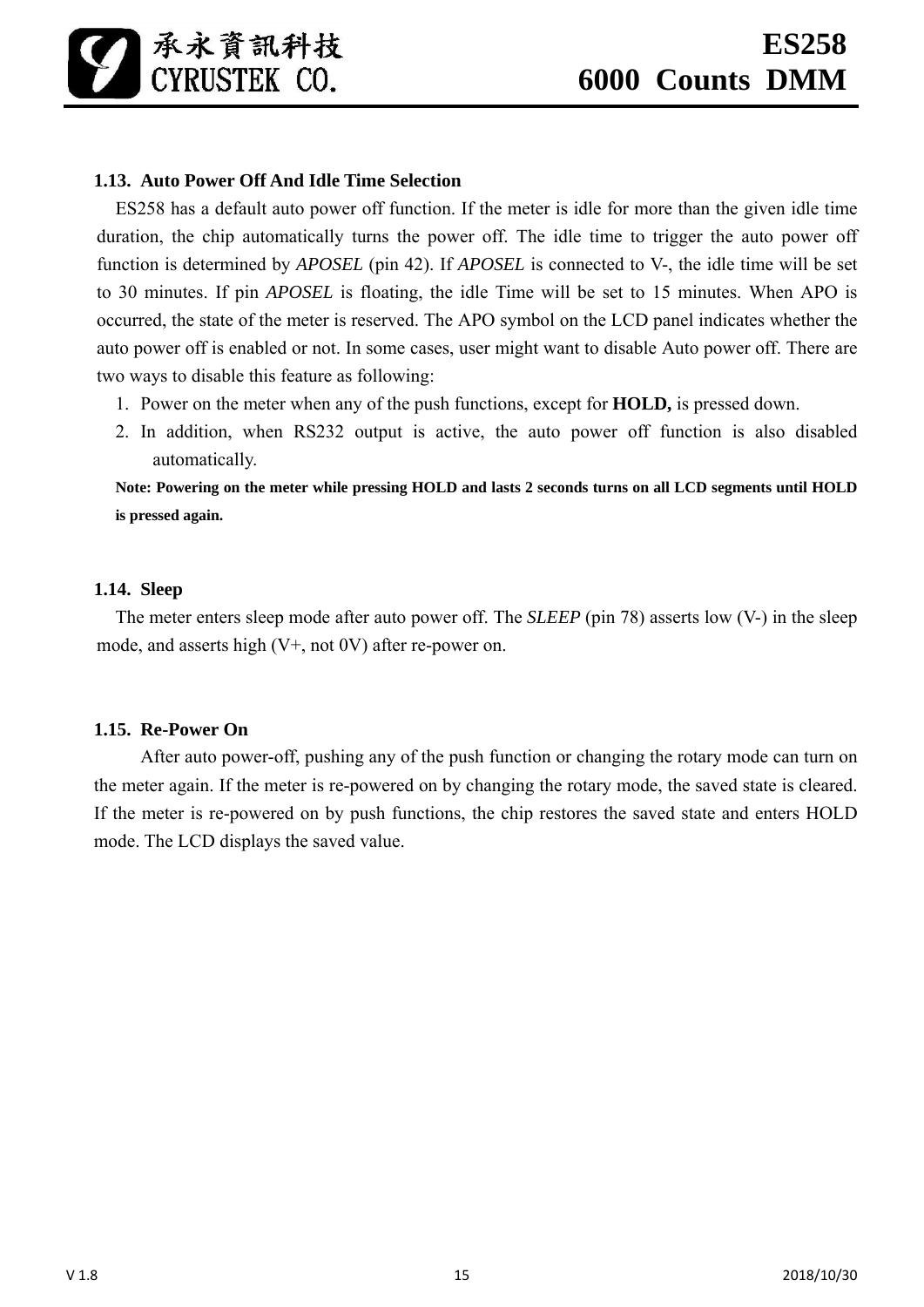# **1.13. Auto Power Off And Idle Time Selection**

ES258 has a default auto power off function. If the meter is idle for more than the given idle time duration, the chip automatically turns the power off. The idle time to trigger the auto power off function is determined by *APOSEL* (pin 42). If *APOSEL* is connected to V-, the idle time will be set to 30 minutes. If pin *APOSEL* is floating, the idle Time will be set to 15 minutes. When APO is occurred, the state of the meter is reserved. The APO symbol on the LCD panel indicates whether the auto power off is enabled or not. In some cases, user might want to disable Auto power off. There are two ways to disable this feature as following:

- 1. Power on the meter when any of the push functions, except for **HOLD,** is pressed down.
- 2. In addition, when RS232 output is active, the auto power off function is also disabled automatically.

**Note: Powering on the meter while pressing HOLD and lasts 2 seconds turns on all LCD segments until HOLD is pressed again.** 

#### **1.14. Sleep**

The meter enters sleep mode after auto power off. The *SLEEP* (pin 78) asserts low (V-) in the sleep mode, and asserts high (V+, not 0V) after re-power on.

#### **1.15. Re-Power On**

 After auto power-off, pushing any of the push function or changing the rotary mode can turn on the meter again. If the meter is re-powered on by changing the rotary mode, the saved state is cleared. If the meter is re-powered on by push functions, the chip restores the saved state and enters HOLD mode. The LCD displays the saved value.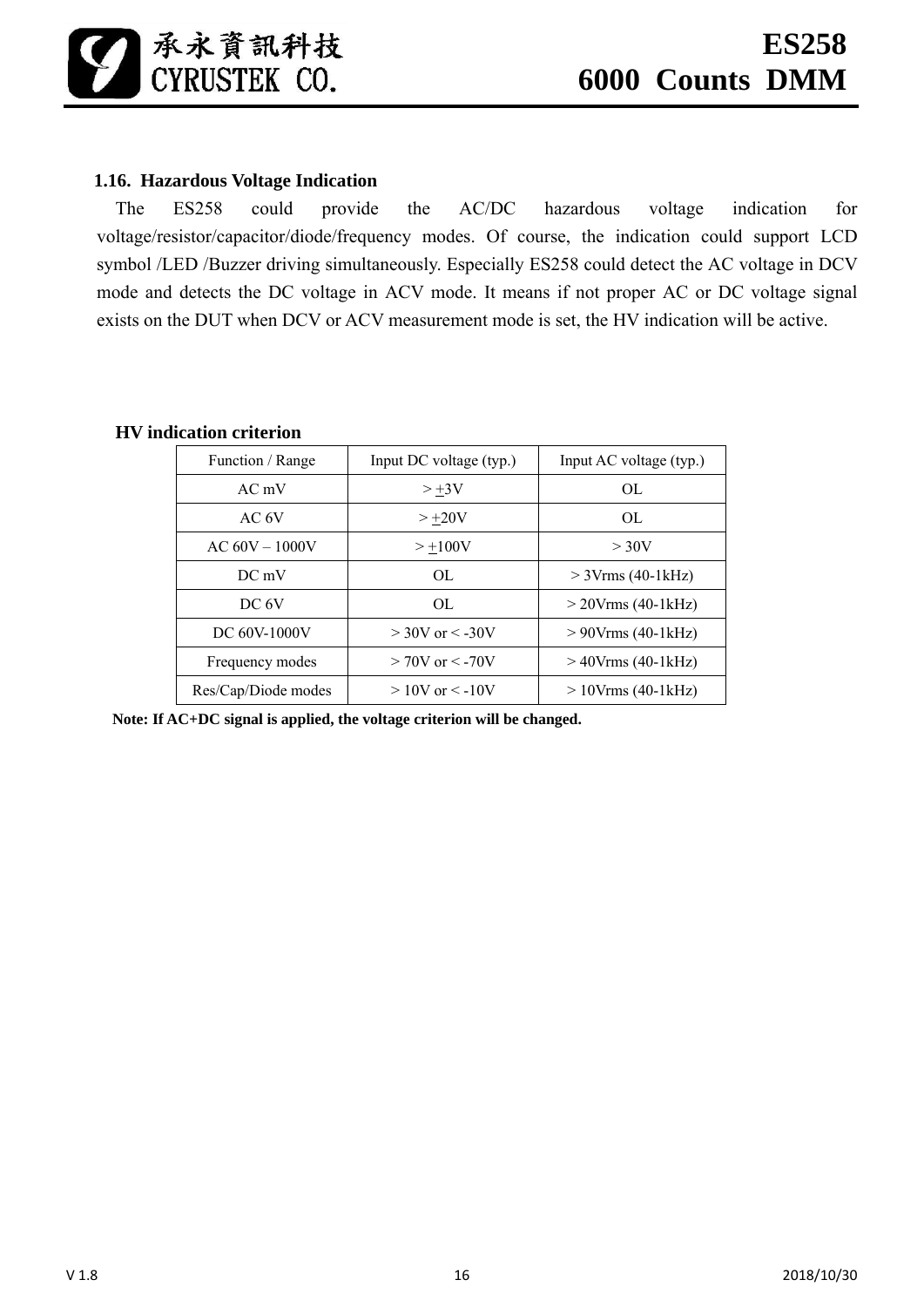# **1.16. Hazardous Voltage Indication**

The ES258 could provide the AC/DC hazardous voltage indication for voltage/resistor/capacitor/diode/frequency modes. Of course, the indication could support LCD symbol /LED /Buzzer driving simultaneously. Especially ES258 could detect the AC voltage in DCV mode and detects the DC voltage in ACV mode. It means if not proper AC or DC voltage signal exists on the DUT when DCV or ACV measurement mode is set, the HV indication will be active.

| Function / Range    | Input DC voltage (typ.) | Input AC voltage (typ.) |
|---------------------|-------------------------|-------------------------|
| $AC$ mV             | $> +3V$                 | $\Omega$                |
| AC 6V               | $> +20V$                | OL.                     |
| $AC 60V - 1000V$    | $> +100V$               | $>$ 30V                 |
| $DC$ mV             | OL.                     | $>$ 3Vrms (40-1kHz)     |
| DC 6V               | OL.                     | $>$ 20Vrms (40-1 kHz)   |
| DC 60V-1000V        | $>$ 30V or $<$ -30V     | $> 90$ Vrms (40-1 kHz)  |
| Frequency modes     | $> 70V$ or $< -70V$     | $>40$ Vrms (40-1 kHz)   |
| Res/Cap/Diode modes | $>10V$ or $\leq -10V$   | $>10V$ rms (40-1 kHz)   |

#### **HV indication criterion**

**Note: If AC+DC signal is applied, the voltage criterion will be changed.**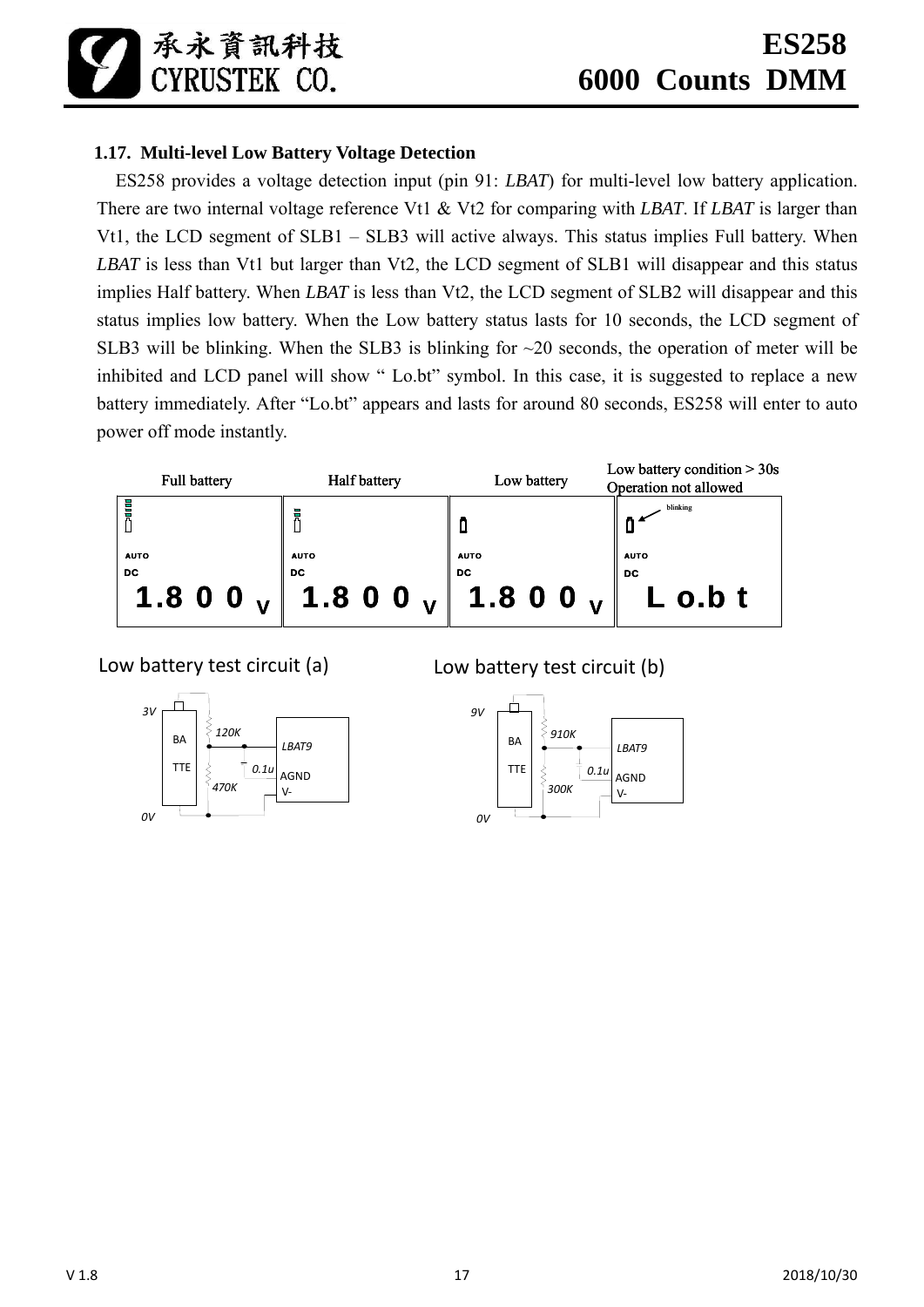承永資訊科技 CYRIISTEK CO.

# **1.17. Multi-level Low Battery Voltage Detection**

ES258 provides a voltage detection input (pin 91: *LBAT*) for multi-level low battery application. There are two internal voltage reference Vt1 & Vt2 for comparing with *LBAT*. If *LBAT* is larger than Vt1, the LCD segment of SLB1 – SLB3 will active always. This status implies Full battery. When *LBAT* is less than Vt1 but larger than Vt2, the LCD segment of SLB1 will disappear and this status implies Half battery. When *LBAT* is less than Vt2, the LCD segment of SLB2 will disappear and this status implies low battery. When the Low battery status lasts for 10 seconds, the LCD segment of SLB3 will be blinking. When the SLB3 is blinking for  $\sim$ 20 seconds, the operation of meter will be inhibited and LCD panel will show " Lo.bt" symbol. In this case, it is suggested to replace a new battery immediately. After "Lo.bt" appears and lasts for around 80 seconds, ES258 will enter to auto power off mode instantly.



Low battery test circuit (a)



Low battery test circuit (b)

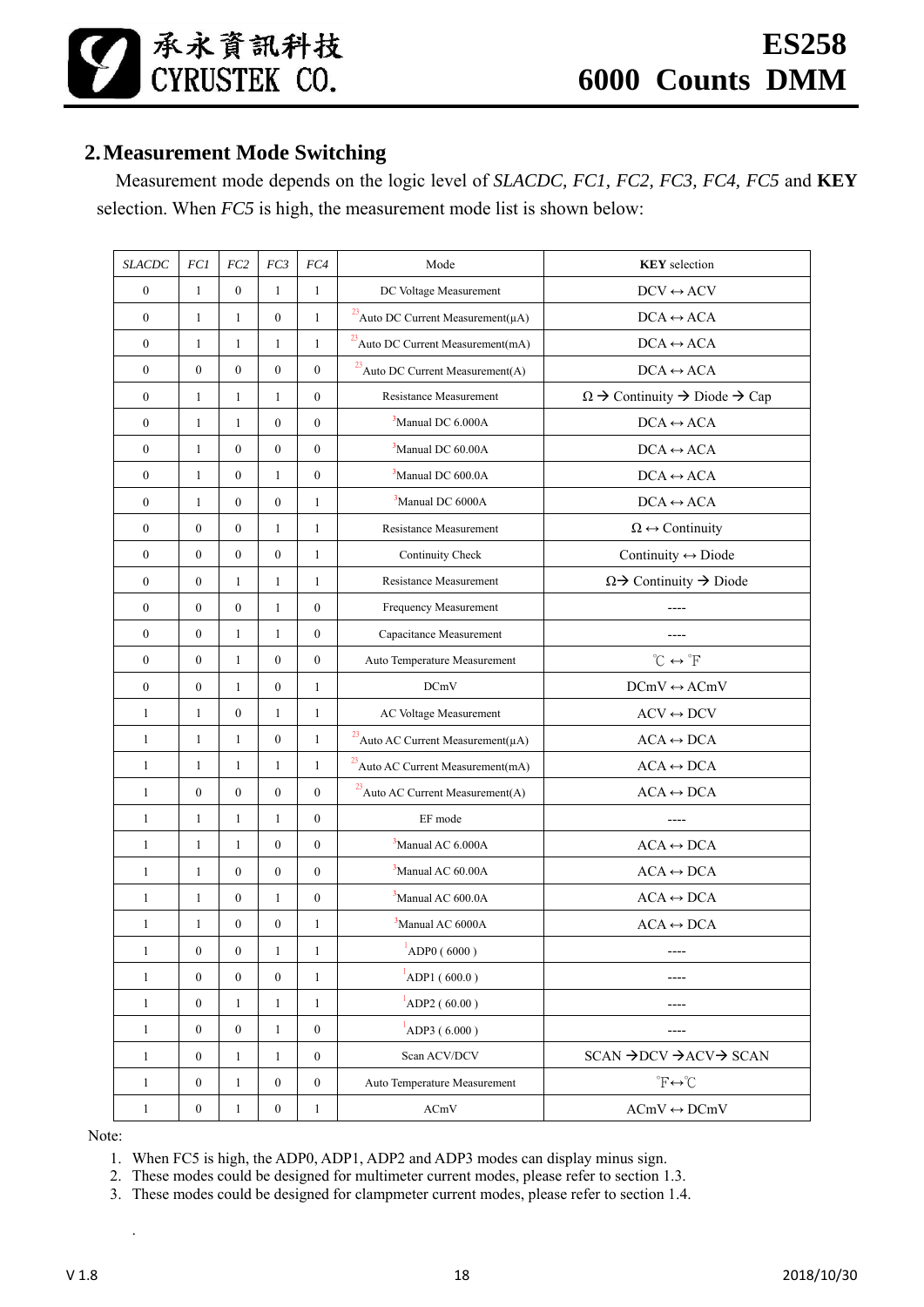# **2.Measurement Mode Switching**

Measurement mode depends on the logic level of *SLACDC, FC1, FC2, FC3, FC4, FC5* and **KEY** selection. When *FC5* is high, the measurement mode list is shown below:

| <b>SLACDC</b>    | $FCI$            | $FC2$            | FC3              | FC4              | Mode                                                      | <b>KEY</b> selection                                    |
|------------------|------------------|------------------|------------------|------------------|-----------------------------------------------------------|---------------------------------------------------------|
| $\boldsymbol{0}$ | $\mathbf{1}$     | $\boldsymbol{0}$ | $\mathbf{1}$     | $\mathbf{1}$     | DC Voltage Measurement                                    | $DCV \leftrightarrow ACV$                               |
| $\boldsymbol{0}$ | $\mathbf{1}$     | $\mathbf{1}$     | $\boldsymbol{0}$ | $\mathbf{1}$     | $^{23}$ Auto DC Current Measurement<br>( $\mu\mathrm{A})$ | $DCA \leftrightarrow ACA$                               |
| $\boldsymbol{0}$ | $\mathbf{1}$     | $\mathbf{1}$     | 1                | $\mathbf{1}$     | $^{23}$ Auto DC Current Measurement<br>(mA)               | $\text{DCA}\leftrightarrow\text{ACA}$                   |
| $\boldsymbol{0}$ | $\boldsymbol{0}$ | $\mathbf{0}$     | $\mathbf{0}$     | $\mathbf{0}$     | <sup>23</sup> Auto DC Current Measurement(A)              | $DCA \leftrightarrow ACA$                               |
| $\boldsymbol{0}$ | $\mathbf{1}$     | $\mathbf{1}$     | $\mathbf{1}$     | $\mathbf{0}$     | Resistance Measurement                                    | $\Omega \to$ Continuity $\to$ Diode $\to$ Cap           |
| $\overline{0}$   | $\mathbf{1}$     | $\mathbf{1}$     | $\boldsymbol{0}$ | $\mathbf{0}$     | $3$ Manual DC 6.000A                                      | $DCA \leftrightarrow ACA$                               |
| $\boldsymbol{0}$ | $\mathbf{1}$     | $\mathbf{0}$     | $\boldsymbol{0}$ | $\boldsymbol{0}$ | <sup>3</sup> Manual DC 60.00A                             | $DCA \leftrightarrow ACA$                               |
| $\boldsymbol{0}$ | $\mathbf{1}$     | $\boldsymbol{0}$ | $\mathbf{1}$     | $\boldsymbol{0}$ | <sup>3</sup> Manual DC 600.0A                             | $DCA \leftrightarrow ACA$                               |
| $\overline{0}$   | $\mathbf{1}$     | $\mathbf{0}$     | $\mathbf{0}$     | $\mathbf{1}$     | <sup>3</sup> Manual DC 6000A                              | $DCA \leftrightarrow ACA$                               |
| $\boldsymbol{0}$ | $\mathbf{0}$     | $\mathbf{0}$     | $\mathbf{1}$     | 1                | <b>Resistance Measurement</b>                             | $\Omega \leftrightarrow$ Continuity                     |
| $\boldsymbol{0}$ | $\mathbf{0}$     | $\mathbf{0}$     | $\boldsymbol{0}$ | $\mathbf{1}$     | Continuity Check                                          | Continuity $\leftrightarrow$ Diode                      |
| $\overline{0}$   | $\mathbf{0}$     | $\mathbf{1}$     | $\mathbf{1}$     | $\mathbf{1}$     | <b>Resistance Measurement</b>                             | $\Omega \rightarrow$ Continuity $\rightarrow$ Diode     |
| $\boldsymbol{0}$ | $\boldsymbol{0}$ | $\boldsymbol{0}$ | $\mathbf{1}$     | $\boldsymbol{0}$ | Frequency Measurement                                     |                                                         |
| $\boldsymbol{0}$ | $\boldsymbol{0}$ | $\mathbf{1}$     | $\mathbf{1}$     | $\boldsymbol{0}$ | Capacitance Measurement                                   |                                                         |
| $\boldsymbol{0}$ | $\boldsymbol{0}$ | $\mathbf{1}$     | $\boldsymbol{0}$ | $\boldsymbol{0}$ | Auto Temperature Measurement                              | $^{\circ}C \leftrightarrow ^{\circ}F$                   |
| $\boldsymbol{0}$ | $\boldsymbol{0}$ | 1                | $\mathbf{0}$     | 1                | <b>DCmV</b>                                               | $DCmV \leftrightarrow ACmV$                             |
| $\mathbf{1}$     | $\mathbf{1}$     | $\mathbf{0}$     | $\mathbf{1}$     | $\mathbf{1}$     | AC Voltage Measurement                                    | $ACV \leftrightarrow DCV$                               |
| $\mathbf{1}$     | $\mathbf{1}$     | $\mathbf{1}$     | $\boldsymbol{0}$ | $\mathbf{1}$     | $^{23}$ Auto AC Current Measurement( $\mu$ A)             | $\text{ACA}\leftrightarrow\text{DCA}$                   |
| $\mathbf{1}$     | $\mathbf{1}$     | $\mathbf{1}$     | $\mathbf{1}$     | 1                | <sup>23</sup> Auto AC Current Measurement(mA)             | $\text{ACA}\leftrightarrow\text{DCA}$                   |
| $\mathbf{1}$     | $\boldsymbol{0}$ | $\boldsymbol{0}$ | $\boldsymbol{0}$ | $\boldsymbol{0}$ | $^{23}$ Auto AC Current Measurement(A)                    | $\text{ACA}\leftrightarrow\text{DCA}$                   |
| $\mathbf{1}$     | $\mathbf{1}$     | $\mathbf{1}$     | 1                | $\overline{0}$   | EF mode                                                   |                                                         |
| $\mathbf{1}$     | $\mathbf{1}$     | 1                | $\boldsymbol{0}$ | $\boldsymbol{0}$ | <sup>3</sup> Manual AC 6.000A                             | $ACA \leftrightarrow DCA$                               |
| 1                | $\mathbf{1}$     | $\mathbf{0}$     | $\boldsymbol{0}$ | $\boldsymbol{0}$ | $3$ Manual AC 60.00A                                      | $ACA \leftrightarrow DCA$                               |
| $\mathbf{1}$     | $\mathbf{1}$     | $\mathbf{0}$     | $\mathbf{1}$     | $\boldsymbol{0}$ | <sup>3</sup> Manual AC 600.0A                             | $ACA \leftrightarrow DCA$                               |
| $\mathbf{1}$     | $\mathbf{1}$     | $\boldsymbol{0}$ | $\boldsymbol{0}$ | 1                | <sup>3</sup> Manual AC 6000A                              | $ACA \leftrightarrow DCA$                               |
| $\mathbf{1}$     | $\boldsymbol{0}$ | $\boldsymbol{0}$ | 1                | 1                | ADP0 (6000)                                               | ----                                                    |
| $\mathbf{1}$     | $\boldsymbol{0}$ | $\boldsymbol{0}$ | $\boldsymbol{0}$ | $\mathbf{1}$     | ADP1(600.0)                                               |                                                         |
| $\mathbf{1}$     | $\boldsymbol{0}$ | 1                | 1                | 1                | $^{1}$ ADP2 (60.00)                                       | ----                                                    |
| $\mathbf{1}$     | $\boldsymbol{0}$ | $\boldsymbol{0}$ | 1                | $\boldsymbol{0}$ | $^{1}$ ADP3 (6.000)                                       |                                                         |
| $\mathbf{1}$     | $\boldsymbol{0}$ | $\mathbf{1}$     | $\mathbf{1}$     | $\boldsymbol{0}$ | Scan ACV/DCV                                              | $SCAN \rightarrow DCV \rightarrow ACV \rightarrow SCAN$ |
| $\mathbf{1}$     | $\boldsymbol{0}$ | $\mathbf{1}$     | $\boldsymbol{0}$ | $\boldsymbol{0}$ | Auto Temperature Measurement                              | $\mathbf{F} \leftrightarrow \mathbf{C}$                 |
| $\mathbf{1}$     | $\boldsymbol{0}$ | $\mathbf{1}$     | $\boldsymbol{0}$ | $\mathbf{1}$     | ACmV                                                      | $\text{ACmV} \leftrightarrow \text{DCmV}$               |

Note:

.

1. When FC5 is high, the ADP0, ADP1, ADP2 and ADP3 modes can display minus sign.

2. These modes could be designed for multimeter current modes, please refer to section 1.3.

3. These modes could be designed for clampmeter current modes, please refer to section 1.4.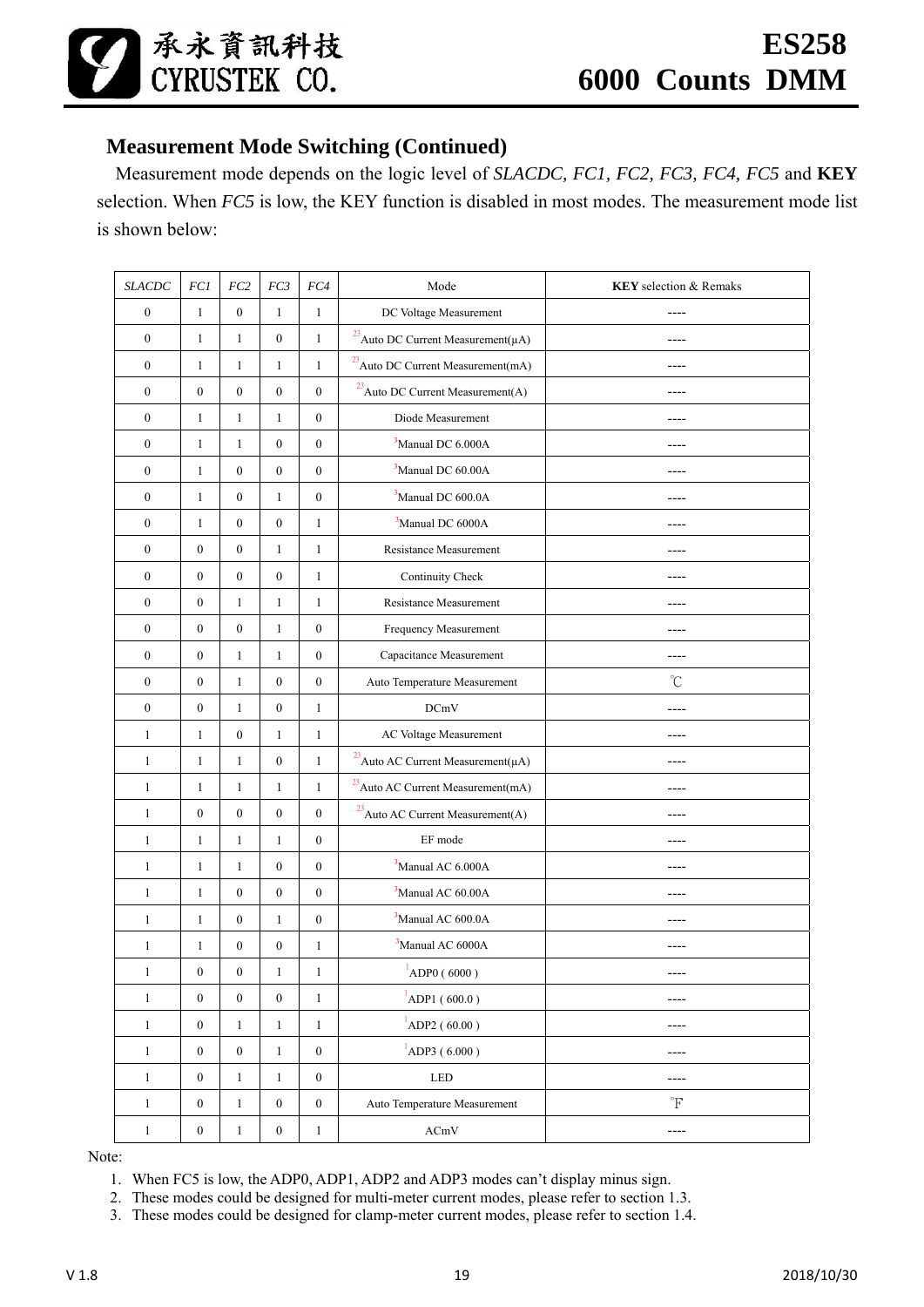# **Measurement Mode Switching (Continued)**

Measurement mode depends on the logic level of *SLACDC, FC1, FC2, FC3, FC4, FC5* and **KEY** selection. When *FC5* is low, the KEY function is disabled in most modes. The measurement mode list is shown below:

| <b>SLACDC</b>    | FCI              | FC2              | FC3              | ${\it FC4}$      | Mode<br><b>KEY</b> selection & Remaks                     |                      |
|------------------|------------------|------------------|------------------|------------------|-----------------------------------------------------------|----------------------|
| $\boldsymbol{0}$ | $\mathbf{1}$     | $\boldsymbol{0}$ | $\mathbf{1}$     | $\mathbf{1}$     | DC Voltage Measurement                                    |                      |
| $\boldsymbol{0}$ | $\mathbf{1}$     | $\mathbf{1}$     | $\boldsymbol{0}$ | $\mathbf{1}$     | $^{23}$ Auto DC Current Measurement<br>( $\mu\mathrm{A})$ | ----                 |
| $\boldsymbol{0}$ | $\mathbf{1}$     | $\mathbf{1}$     | $\mathbf{1}$     | 1                | $^{23}$ Auto DC Current Measurement(mA)                   | ----                 |
| $\boldsymbol{0}$ | $\boldsymbol{0}$ | $\boldsymbol{0}$ | $\boldsymbol{0}$ | $\boldsymbol{0}$ | $^{23}$ Auto DC Current Measurement(A)                    |                      |
| $\boldsymbol{0}$ | $\mathbf{1}$     | $\mathbf{1}$     | $\mathbf{1}$     | $\boldsymbol{0}$ | Diode Measurement                                         |                      |
| $\boldsymbol{0}$ | $\mathbf{1}$     | $\mathbf{1}$     | $\boldsymbol{0}$ | $\boldsymbol{0}$ | <sup>3</sup> Manual DC 6.000A                             |                      |
| $\boldsymbol{0}$ | $\mathbf{1}$     | $\boldsymbol{0}$ | $\boldsymbol{0}$ | $\boldsymbol{0}$ | <sup>3</sup> Manual DC 60.00A                             |                      |
| $\boldsymbol{0}$ | $\mathbf{1}$     | $\boldsymbol{0}$ | $\mathbf{1}$     | $\boldsymbol{0}$ | <sup>3</sup> Manual DC 600.0A                             | ----                 |
| $\boldsymbol{0}$ | $\mathbf{1}$     | $\boldsymbol{0}$ | $\boldsymbol{0}$ | 1                | <sup>3</sup> Manual DC 6000A                              | ----                 |
| $\boldsymbol{0}$ | $\mathbf{0}$     | $\boldsymbol{0}$ | $\mathbf{1}$     | $\mathbf{1}$     | Resistance Measurement                                    | ----                 |
| $\boldsymbol{0}$ | $\boldsymbol{0}$ | $\boldsymbol{0}$ | $\boldsymbol{0}$ | $\mathbf{1}$     | Continuity Check                                          |                      |
| $\boldsymbol{0}$ | $\boldsymbol{0}$ | $\mathbf{1}$     | $\mathbf{1}$     | 1                | Resistance Measurement                                    |                      |
| $\boldsymbol{0}$ | $\boldsymbol{0}$ | $\boldsymbol{0}$ | $\mathbf{1}$     | $\boldsymbol{0}$ | Frequency Measurement                                     | ----                 |
| $\boldsymbol{0}$ | $\boldsymbol{0}$ | $\mathbf{1}$     | $\mathbf{1}$     | $\boldsymbol{0}$ | Capacitance Measurement                                   | ----                 |
| $\boldsymbol{0}$ | $\boldsymbol{0}$ | $\mathbf{1}$     | $\boldsymbol{0}$ | $\boldsymbol{0}$ | Auto Temperature Measurement                              | $\rm ^{\circ}C$      |
| $\boldsymbol{0}$ | $\boldsymbol{0}$ | $\mathbf{1}$     | $\boldsymbol{0}$ | $\mathbf{1}$     | <b>DCmV</b>                                               | ----                 |
| $\mathbf{1}$     | $\mathbf{1}$     | $\boldsymbol{0}$ | $\mathbf{1}$     | $\mathbf{1}$     | AC Voltage Measurement                                    | ----                 |
| $\mathbf{1}$     | $\mathbf{1}$     | $\mathbf{1}$     | $\boldsymbol{0}$ | $\mathbf{1}$     | <sup>23</sup> Auto AC Current Measurement( $\mu$ A)       |                      |
| $\mathbf{1}$     | $\mathbf{1}$     | $\mathbf{1}$     | $\mathbf{1}$     | $\mathbf{1}$     | $^{23}$ Auto AC Current Measurement<br>(mA)               | ----                 |
| $\mathbf{1}$     | $\boldsymbol{0}$ | $\boldsymbol{0}$ | $\boldsymbol{0}$ | $\boldsymbol{0}$ | $^{23}$ Auto AC Current Measurement(A)                    | ----                 |
| $\mathbf{1}$     | $\mathbf{1}$     | $\mathbf{1}$     | $\mathbf{1}$     | $\boldsymbol{0}$ | EF mode                                                   | ----                 |
| $\mathbf{1}$     | $\mathbf{1}$     | $\mathbf{1}$     | $\boldsymbol{0}$ | $\boldsymbol{0}$ | <sup>3</sup> Manual AC 6.000A                             | ----                 |
| $\mathbf{1}$     | $\mathbf{1}$     | $\boldsymbol{0}$ | $\boldsymbol{0}$ | $\boldsymbol{0}$ | <sup>3</sup> Manual AC 60.00A                             |                      |
| $\mathbf{1}$     | $\mathbf{1}$     | $\boldsymbol{0}$ | $\mathbf{1}$     | $\boldsymbol{0}$ | <sup>3</sup> Manual AC 600.0A                             |                      |
| $\mathbf{1}$     | $\mathbf{1}$     | $\boldsymbol{0}$ | $\boldsymbol{0}$ | $\mathbf{1}$     | <sup>3</sup> Manual AC 6000A                              | ----                 |
| $\mathbf{1}$     | $\boldsymbol{0}$ | $\boldsymbol{0}$ | $\mathbf{1}$     | 1                | $\overline{1}$<br>ADP0 (6000)                             | $- - - -$            |
| $\mathbf{1}$     | $\boldsymbol{0}$ | $\boldsymbol{0}$ | $\boldsymbol{0}$ | $\mathbf{1}$     | $^{1}$ ADP1 (600.0)                                       | ----                 |
| $\mathbf{1}$     | $\boldsymbol{0}$ | $\mathbf{1}$     | $\mathbf{1}$     | $\mathbf{1}$     | $^{1}$ ADP2 (60.00)                                       | ----                 |
| $\mathbf{1}$     | $\boldsymbol{0}$ | $\boldsymbol{0}$ | $\mathbf{1}$     | $\boldsymbol{0}$ | $^{1}$ ADP3 (6.000)                                       | ----                 |
| $\,1$            | $\boldsymbol{0}$ | $\mathbf{1}$     | $1\,$            | $\boldsymbol{0}$ | LED                                                       | ----                 |
| $\mathbf{1}$     | $\boldsymbol{0}$ | $\mathbf{1}$     | $\boldsymbol{0}$ | $\boldsymbol{0}$ | Auto Temperature Measurement                              | $\mathrm{^{\circ}F}$ |
| $\mathbf{1}$     | $\boldsymbol{0}$ | $\mathbf{1}$     | $\boldsymbol{0}$ | 1                | ACmV                                                      | ----                 |

Note:

1. When FC5 is low, the ADP0, ADP1, ADP2 and ADP3 modes can't display minus sign.

2. These modes could be designed for multi-meter current modes, please refer to section 1.3.

3. These modes could be designed for clamp-meter current modes, please refer to section 1.4.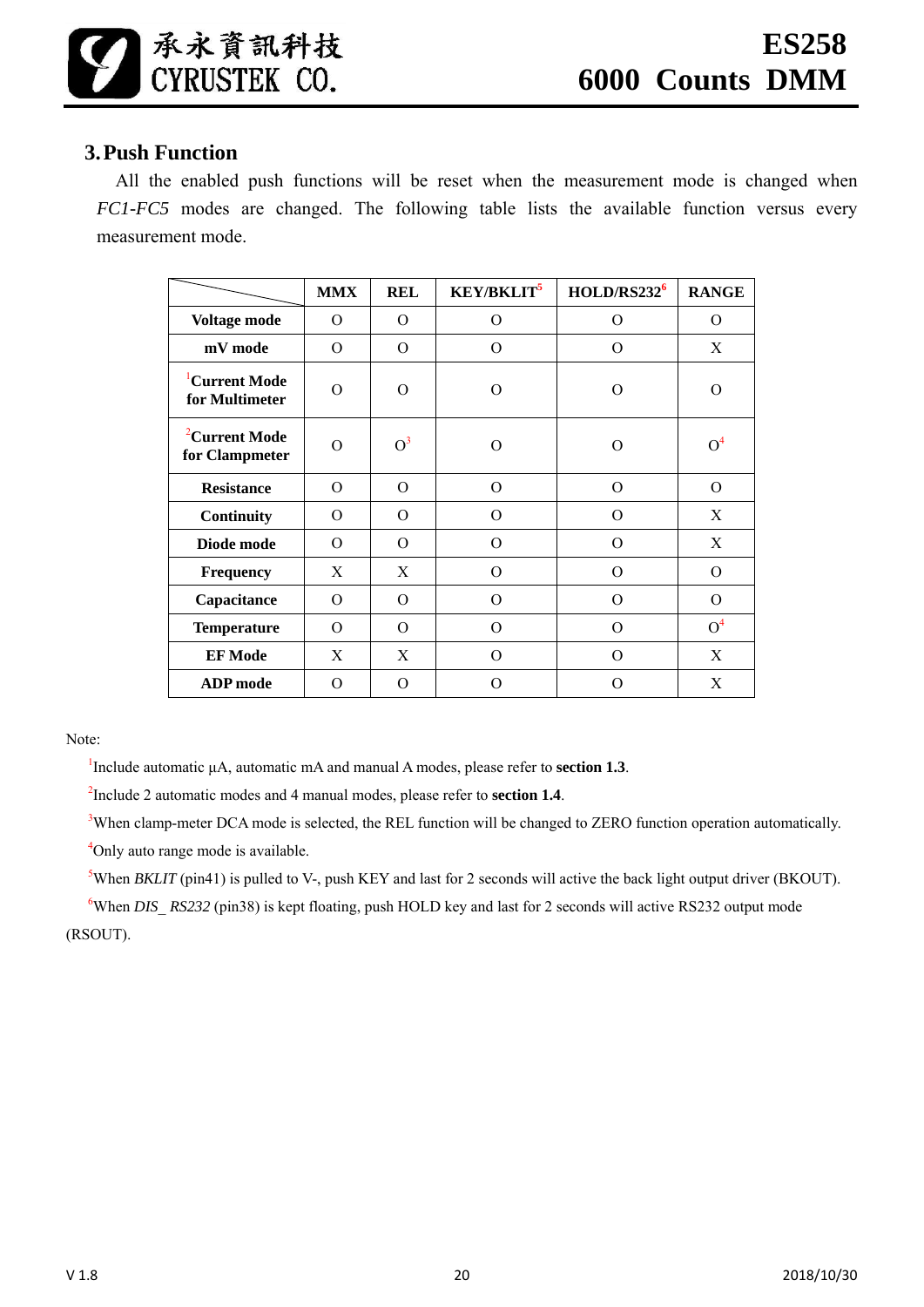# **3.Push Function**

All the enabled push functions will be reset when the measurement mode is changed when *FC1-FC5* modes are changed. The following table lists the available function versus every measurement mode.

|                                             | <b>MMX</b> | <b>REL</b>    | <b>KEY/BKLIT<sup>5</sup></b> | HOLD/RS232 <sup>6</sup> | <b>RANGE</b>   |
|---------------------------------------------|------------|---------------|------------------------------|-------------------------|----------------|
| Voltage mode                                | 0          | O             | $\Omega$                     | O                       | 0              |
| mV mode                                     | $\Omega$   | $\Omega$      | $\Omega$                     | $\Omega$                | X              |
| <sup>1</sup> Current Mode<br>for Multimeter | $\Omega$   | $\Omega$<br>O |                              | $\Omega$                | $\Omega$       |
| <sup>2</sup> Current Mode<br>for Clampmeter | $\Omega$   | $O^3$         | O                            | O                       | O <sup>4</sup> |
| <b>Resistance</b>                           | $\Omega$   | $\Omega$      | $\Omega$                     | $\Omega$                | $\Omega$       |
| Continuity                                  | $\Omega$   | $\Omega$      | $\Omega$                     | $\Omega$                | X              |
| Diode mode                                  | $\Omega$   | $\Omega$      | $\Omega$                     | $\Omega$                | X              |
| Frequency                                   | X          | X             | $\Omega$                     | $\overline{O}$          | $\Omega$       |
| Capacitance                                 | $\Omega$   | $\Omega$      | $\Omega$                     | $\Omega$                | $\Omega$       |
| <b>Temperature</b>                          | $\Omega$   | $\Omega$      | $\Omega$                     | $\overline{O}$          | O <sup>4</sup> |
| <b>EF</b> Mode                              | X          | X             | $\Omega$                     | $\Omega$                | X              |
| <b>ADP</b> mode                             | O          | O             | ∩                            | O                       | X              |

Note:

<sup>1</sup>Include automatic  $\mu$ A, automatic mA and manual A modes, please refer to **section 1.3**.

2 Include 2 automatic modes and 4 manual modes, please refer to **section 1.4**.

<sup>3</sup>When clamp-meter DCA mode is selected, the REL function will be changed to ZERO function operation automatically. <sup>4</sup>Only auto range mode is available.

<sup>5</sup>When *BKLIT* (pin41) is pulled to V-, push KEY and last for 2 seconds will active the back light output driver (BKOUT).

<sup>6</sup>When *DIS RS232* (pin38) is kept floating, push HOLD key and last for 2 seconds will active RS232 output mode (RSOUT).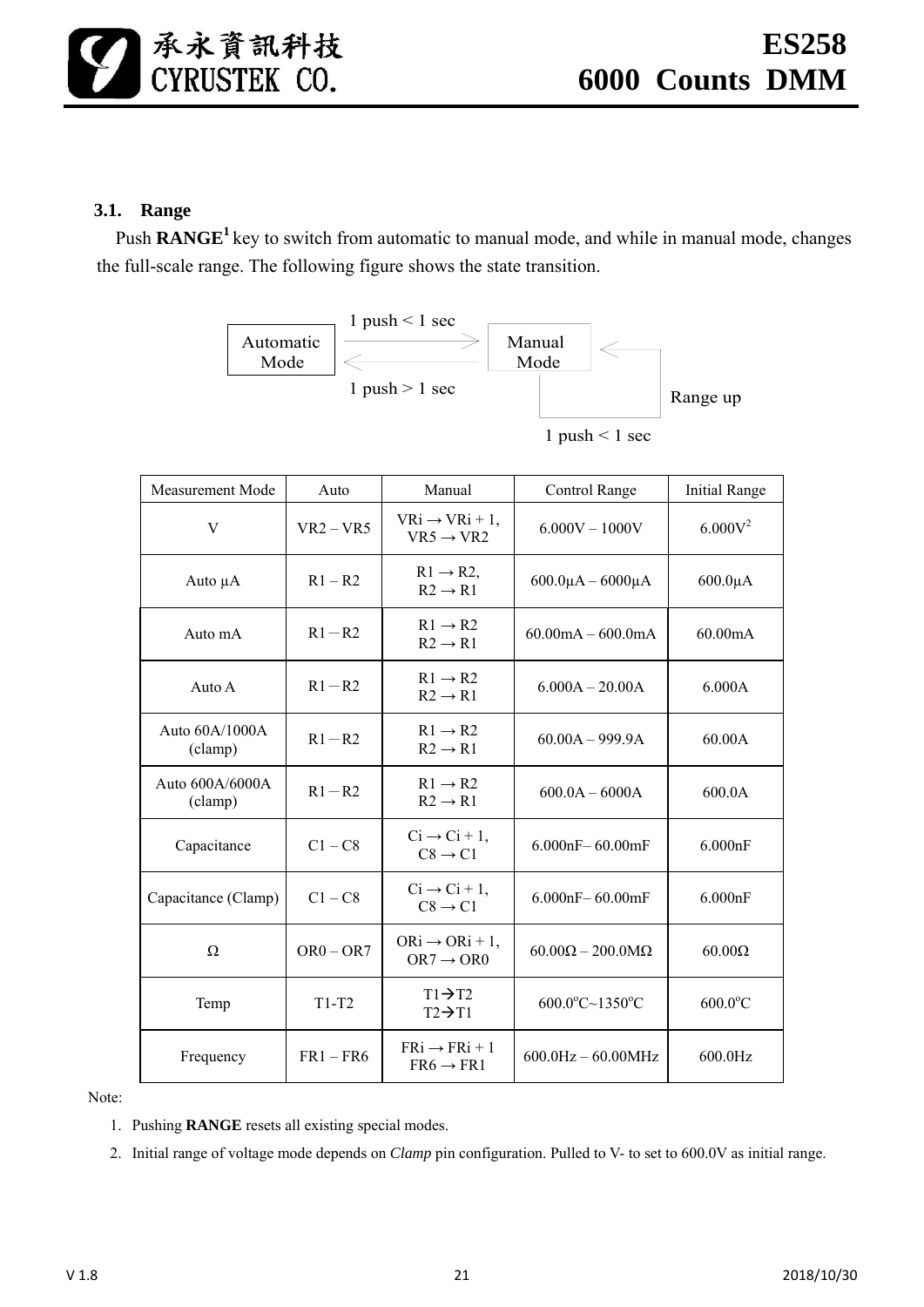# **3.1. Range**

Push **RANGE<sup>1</sup>** key to switch from automatic to manual mode, and while in manual mode, changes the full-scale range. The following figure shows the state transition.



| <b>Measurement Mode</b>     | Auto        | Manual                                               | Control Range                              | Initial Range          |
|-----------------------------|-------------|------------------------------------------------------|--------------------------------------------|------------------------|
| V                           | $VR2 - VR5$ | $VRi \rightarrow VRi + 1$ ,<br>$VR5 \rightarrow VR2$ | $6.000V - 1000V$                           | $6.000V^2$             |
| Auto $\mu A$                | $R1 - R2$   | $R1 \rightarrow R2$ ,<br>$R2 \rightarrow R1$         | $600.0\mu A - 6000\mu A$                   | $600.0\mu A$           |
| Auto mA                     | $R1 - R2$   | $R1 \rightarrow R2$<br>$R2 \rightarrow R1$           | $60.00 \text{mA} - 600.0 \text{mA}$        | 60.00mA                |
| Auto A                      | $R1 - R2$   | $R1 \rightarrow R2$<br>$R2 \rightarrow R1$           | $6.000A - 20.00A$                          | 6.000A                 |
| Auto $60A/1000A$<br>(clamp) | $R1 - R2$   | $R1 \rightarrow R2$<br>$R2 \rightarrow R1$           | $60.00A - 999.9A$                          | 60.00A                 |
| Auto 600A/6000A<br>(clamp)  | $R1 - R2$   | $R1 \rightarrow R2$<br>$R2 \rightarrow R1$           | $600.0A - 6000A$                           | 600.0A                 |
| Capacitance                 | $C1 - C8$   | $Ci \rightarrow Ci + 1$ ,<br>$C8 \rightarrow C1$     | $6.000nF - 60.00mF$                        | 6.000nF                |
| Capacitance (Clamp)         | $C1 - C8$   | $Ci \rightarrow Ci + 1$ ,<br>$C8 \rightarrow C1$     | $6.000nF - 60.00mF$                        | 6.000nF                |
| $\Omega$                    | $OR0 - OR7$ | $ORi \rightarrow ORi + 1$ ,<br>$OR7 \rightarrow OR0$ | $60.00\Omega - 200.0\text{M}\Omega$        | $60.00\Omega$          |
| Temp                        | $T1-T2$     | $T1 \rightarrow T2$<br>$T2 \rightarrow T1$           | $600.0^{\circ}$ C $\sim$ 1350 $^{\circ}$ C | $600.0$ <sup>o</sup> C |
| Frequency                   | $FR1 - FR6$ | $FRi \rightarrow FRi + 1$<br>$FR6 \rightarrow FR1$   | $600.0$ Hz $- 60.00$ MHz                   | 600.0Hz                |

Note:

- 1. Pushing **RANGE** resets all existing special modes.
- 2. Initial range of voltage mode depends on *Clamp* pin configuration. Pulled to V- to set to 600.0V as initial range.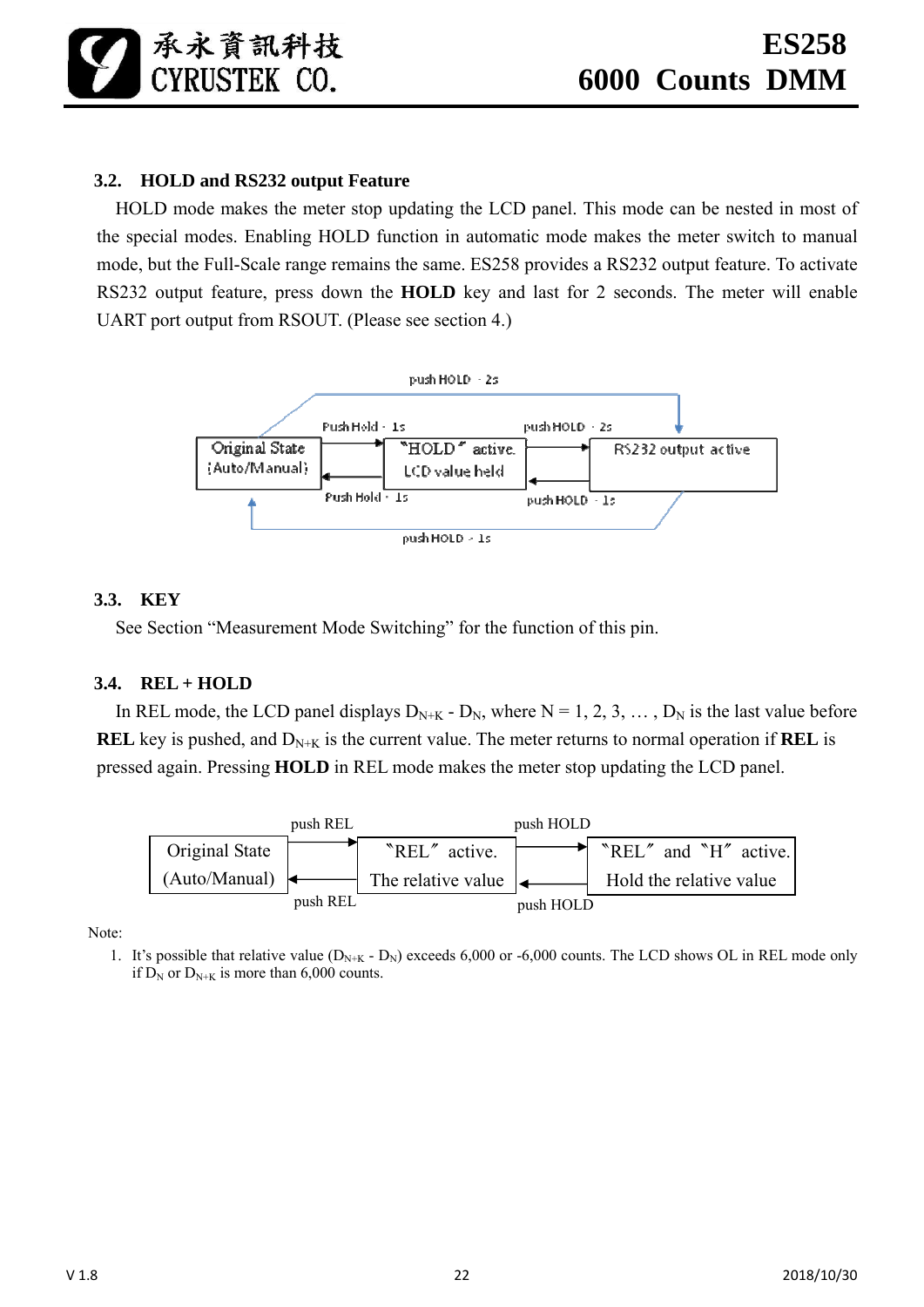# **3.2. HOLD and RS232 output Feature**

HOLD mode makes the meter stop updating the LCD panel. This mode can be nested in most of the special modes. Enabling HOLD function in automatic mode makes the meter switch to manual mode, but the Full-Scale range remains the same. ES258 provides a RS232 output feature. To activate RS232 output feature, press down the **HOLD** key and last for 2 seconds. The meter will enable UART port output from RSOUT. (Please see section 4.)



#### **3.3. KEY**

See Section "Measurement Mode Switching" for the function of this pin.

# **3.4. REL + HOLD**

In REL mode, the LCD panel displays  $D_{N+K}$  -  $D_N$ , where  $N = 1, 2, 3, \dots, D_N$  is the last value before **REL** key is pushed, and  $D_{N+K}$  is the current value. The meter returns to normal operation if **REL** is pressed again. Pressing **HOLD** in REL mode makes the meter stop updating the LCD panel.



Note:

1. It's possible that relative value  $(D_{N+K} - D_N)$  exceeds 6,000 or -6,000 counts. The LCD shows OL in REL mode only if  $D_N$  or  $D_{N+K}$  is more than 6,000 counts.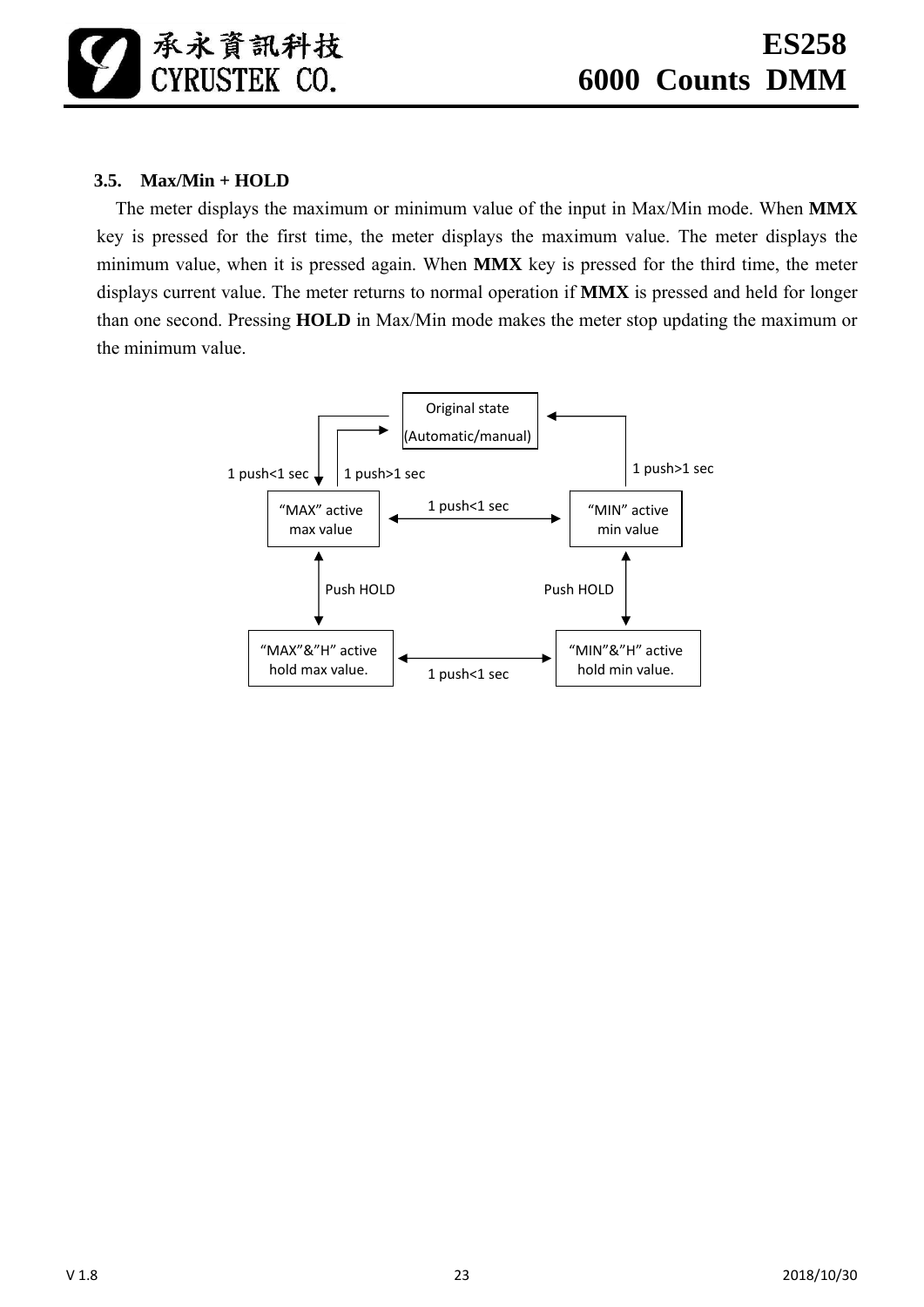# **3.5. Max/Min + HOLD**

The meter displays the maximum or minimum value of the input in Max/Min mode. When **MMX** key is pressed for the first time, the meter displays the maximum value. The meter displays the minimum value, when it is pressed again. When **MMX** key is pressed for the third time, the meter displays current value. The meter returns to normal operation if **MMX** is pressed and held for longer than one second. Pressing **HOLD** in Max/Min mode makes the meter stop updating the maximum or the minimum value.

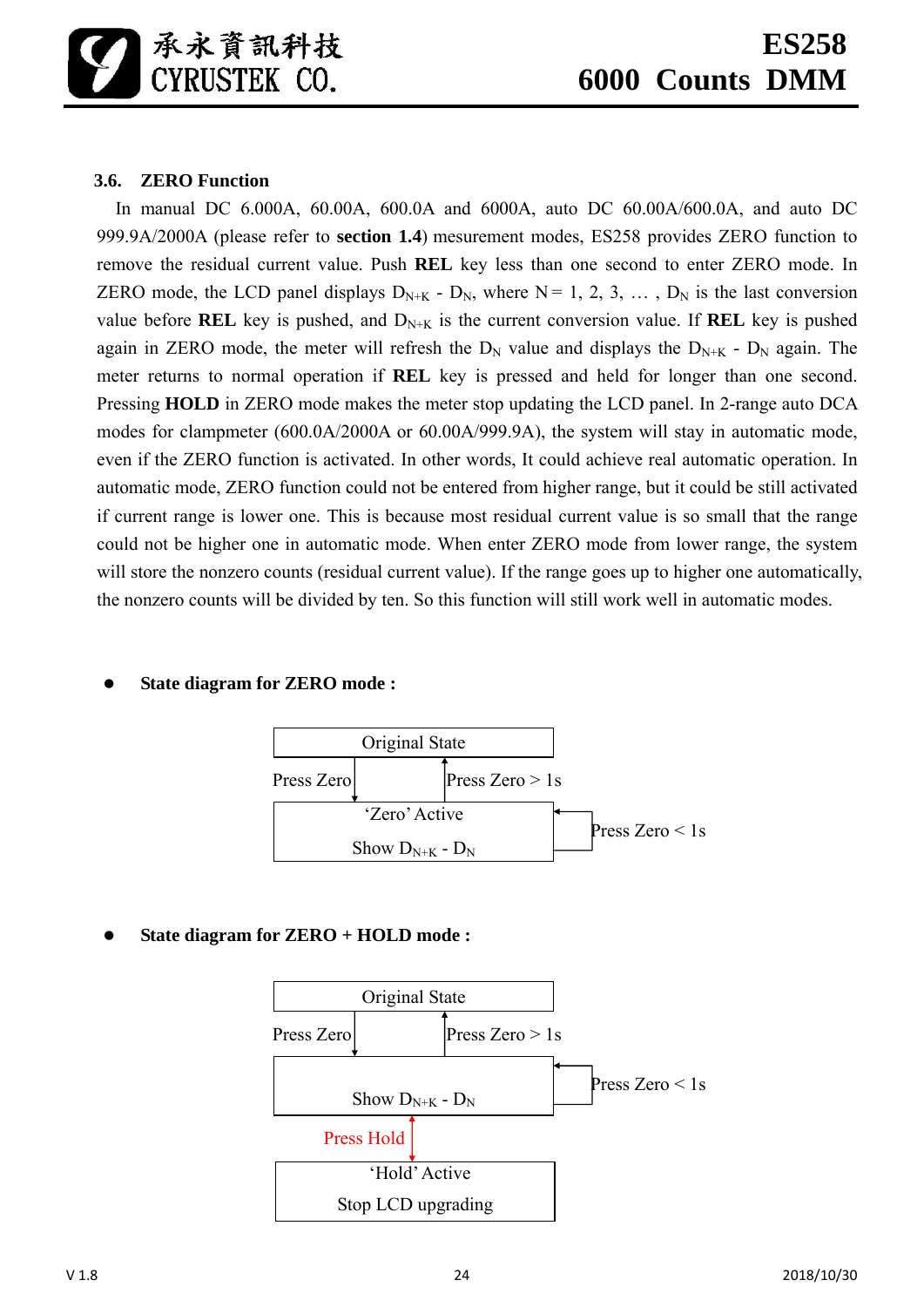# **3.6. ZERO Function**

In manual DC 6.000A, 60.00A, 600.0A and 6000A, auto DC 60.00A/600.0A, and auto DC 999.9A/2000A (please refer to **section 1.4**) mesurement modes, ES258 provides ZERO function to remove the residual current value. Push **REL** key less than one second to enter ZERO mode. In ZERO mode, the LCD panel displays  $D_{N+K}$  -  $D_N$ , where  $N = 1, 2, 3, \ldots, D_N$  is the last conversion value before **REL** key is pushed, and  $D_{N+K}$  is the current conversion value. If **REL** key is pushed again in ZERO mode, the meter will refresh the  $D_N$  value and displays the  $D_{N+K}$  -  $D_N$  again. The meter returns to normal operation if **REL** key is pressed and held for longer than one second. Pressing **HOLD** in ZERO mode makes the meter stop updating the LCD panel. In 2-range auto DCA modes for clampmeter (600.0A/2000A or 60.00A/999.9A), the system will stay in automatic mode, even if the ZERO function is activated. In other words, It could achieve real automatic operation. In automatic mode, ZERO function could not be entered from higher range, but it could be still activated if current range is lower one. This is because most residual current value is so small that the range could not be higher one in automatic mode. When enter ZERO mode from lower range, the system will store the nonzero counts (residual current value). If the range goes up to higher one automatically, the nonzero counts will be divided by ten. So this function will still work well in automatic modes.

# **State diagram for ZERO mode :**



# **State diagram for ZERO + HOLD mode :**

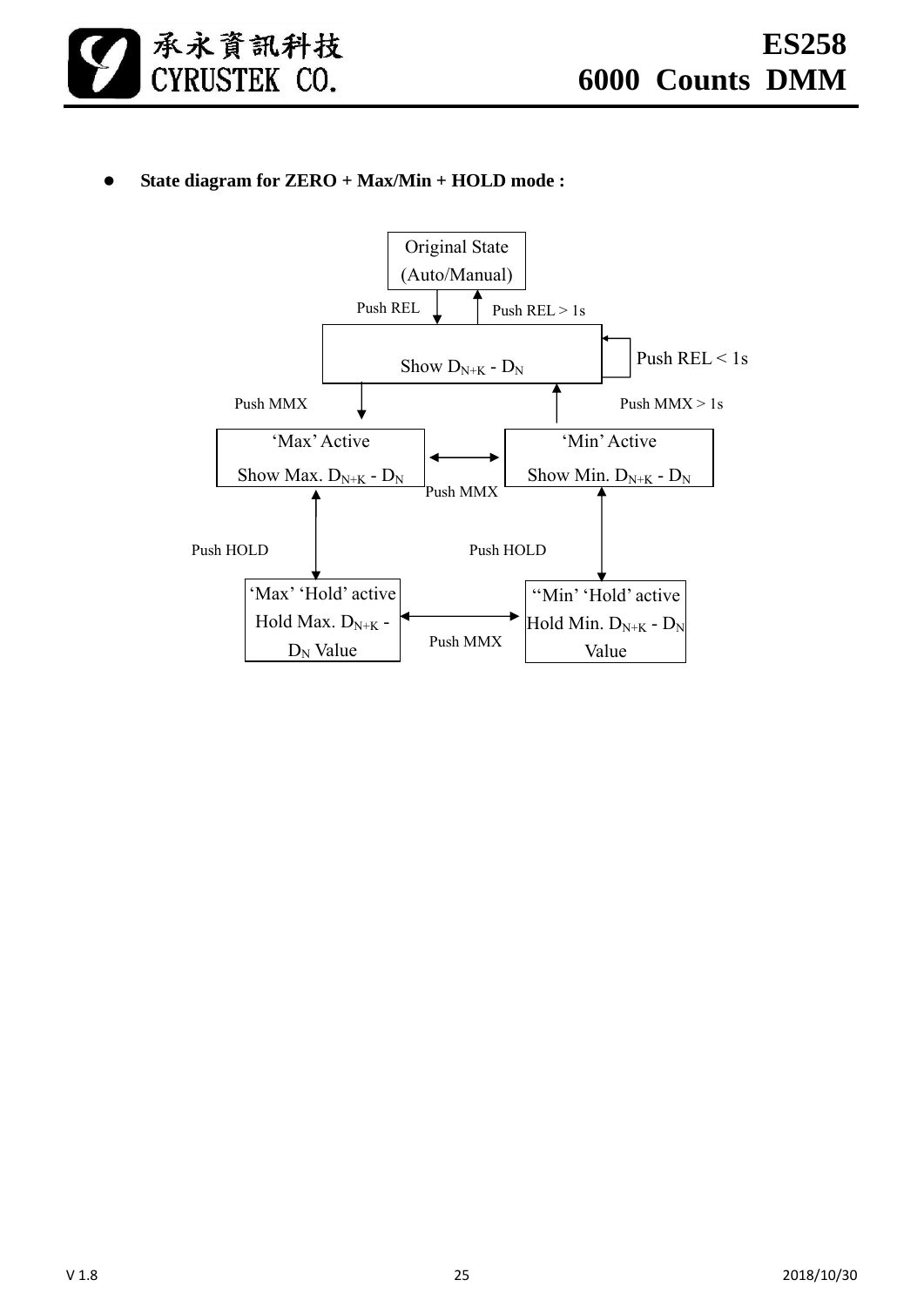

# **State diagram for ZERO + Max/Min + HOLD mode :**

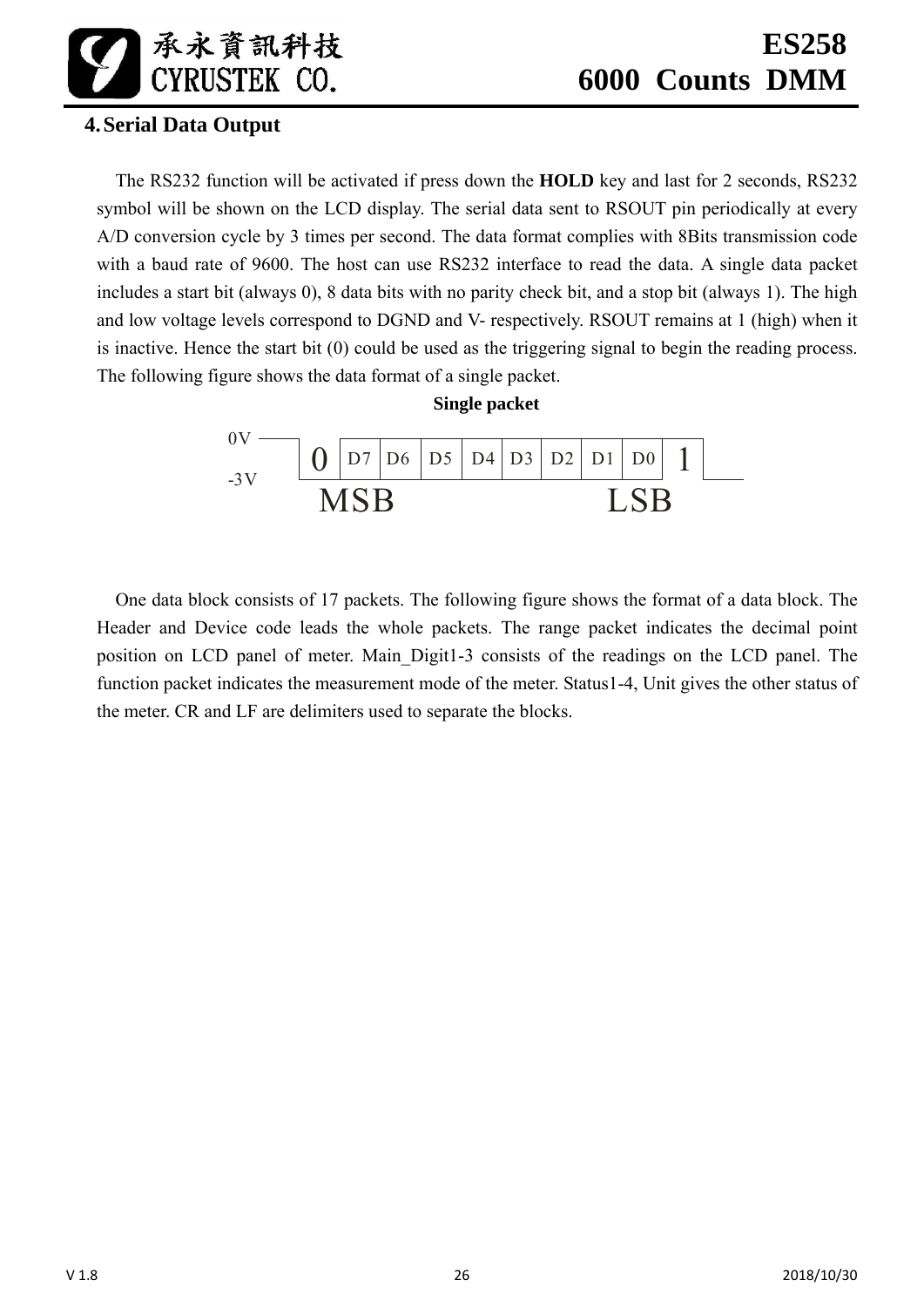# **4.Serial Data Output**

The RS232 function will be activated if press down the **HOLD** key and last for 2 seconds, RS232 symbol will be shown on the LCD display. The serial data sent to RSOUT pin periodically at every A/D conversion cycle by 3 times per second. The data format complies with 8Bits transmission code with a baud rate of 9600. The host can use RS232 interface to read the data. A single data packet includes a start bit (always 0), 8 data bits with no parity check bit, and a stop bit (always 1). The high and low voltage levels correspond to DGND and V- respectively. RSOUT remains at 1 (high) when it is inactive. Hence the start bit (0) could be used as the triggering signal to begin the reading process. The following figure shows the data format of a single packet.



One data block consists of 17 packets. The following figure shows the format of a data block. The Header and Device code leads the whole packets. The range packet indicates the decimal point position on LCD panel of meter. Main\_Digit1-3 consists of the readings on the LCD panel. The function packet indicates the measurement mode of the meter. Status1-4, Unit gives the other status of the meter. CR and LF are delimiters used to separate the blocks.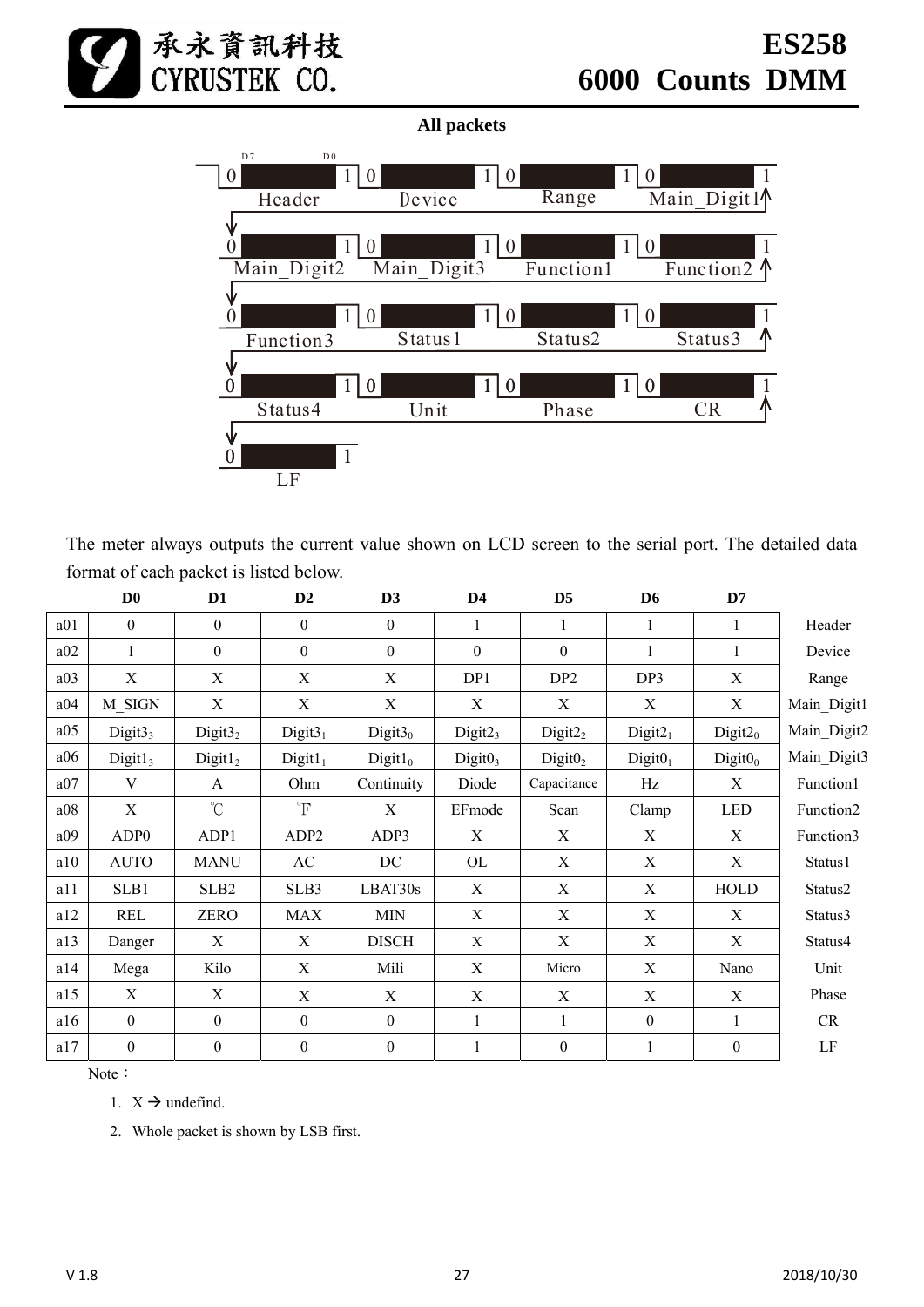

**All packets** 



The meter always outputs the current value shown on LCD screen to the serial port. The detailed data format of each packet is listed below.

|     | $\mathbf{D}\mathbf{0}$ | D1                   | D2                     | D3                        | D <sub>4</sub>      | D <sub>5</sub>      | D <sub>6</sub>      | D7                        |             |
|-----|------------------------|----------------------|------------------------|---------------------------|---------------------|---------------------|---------------------|---------------------------|-------------|
| a01 | $\theta$               | $\mathbf{0}$         | $\mathbf{0}$           | $\boldsymbol{0}$          |                     |                     | 1                   | 1                         | Header      |
| a02 | $\mathbf{1}$           | $\boldsymbol{0}$     | $\boldsymbol{0}$       | $\boldsymbol{0}$          | $\boldsymbol{0}$    | $\boldsymbol{0}$    | 1                   | $\mathbf{1}$              | Device      |
| a03 | $\mathbf X$            | X                    | X                      | $\boldsymbol{\mathrm{X}}$ | DP1                 | DP <sub>2</sub>     | DP3                 | $\boldsymbol{\mathrm{X}}$ | Range       |
| a04 | M SIGN                 | X                    | X                      | X                         | X                   | X                   | X                   | X                         | Main Digit1 |
| a05 | Digit3 <sub>3</sub>    | Digit $32$           | Digit $31$             | Digit $30$                | Digit2 <sub>3</sub> | Digit2 <sub>2</sub> | Digit2 <sub>1</sub> | Digit2 <sub>0</sub>       | Main_Digit2 |
| a06 | Digit1 <sub>3</sub>    | Digit1 <sub>2</sub>  | $Digit1_1$             | $Digit1_0$                | Digit0 <sub>3</sub> | Digit0 <sub>2</sub> | Digit0 <sub>1</sub> | Digit0 <sub>0</sub>       | Main Digit3 |
| a07 | V                      | $\mathbf{A}$         | Ohm                    | Continuity                | Diode               | Capacitance         | Hz                  | X                         | Function1   |
| a08 | $\mathbf X$            | $\mathrm{C}^{\circ}$ | $\mathrm{F}$           | X                         | EFmode              | Scan                | Clamp               | <b>LED</b>                | Function2   |
| a09 | ADP <sub>0</sub>       | ADP1                 | ADP <sub>2</sub>       | ADP3                      | X                   | X                   | X                   | X                         | Function3   |
| a10 | <b>AUTO</b>            | <b>MANU</b>          | $\mathbf{A}\mathbf{C}$ | DC                        | OL                  | X                   | X                   | X                         | Status1     |
| a11 | SLB1                   | SLB <sub>2</sub>     | SLB3                   | LBAT30s                   | X                   | $\mathbf X$         | X                   | <b>HOLD</b>               | Status2     |
| a12 | <b>REL</b>             | <b>ZERO</b>          | <b>MAX</b>             | <b>MIN</b>                | X                   | X                   | X                   | $\boldsymbol{\mathrm{X}}$ | Status3     |
| a13 | Danger                 | X                    | X                      | <b>DISCH</b>              | X                   | X                   | X                   | $\boldsymbol{\mathrm{X}}$ | Status4     |
| a14 | Mega                   | Kilo                 | X                      | Mili                      | X                   | Micro               | X                   | Nano                      | Unit        |
| a15 | $\mathbf X$            | X                    | X                      | X                         | X                   | X                   | X                   | X                         | Phase       |
| a16 | $\boldsymbol{0}$       | $\theta$             | $\theta$               | $\boldsymbol{0}$          |                     |                     | $\theta$            | 1                         | CR          |
| a17 | $\boldsymbol{0}$       | $\boldsymbol{0}$     | $\boldsymbol{0}$       | $\boldsymbol{0}$          |                     | $\boldsymbol{0}$    | $\mathbf{1}$        | $\boldsymbol{0}$          | $\rm LF$    |

Note:

1.  $X \rightarrow$  undefind.

2. Whole packet is shown by LSB first.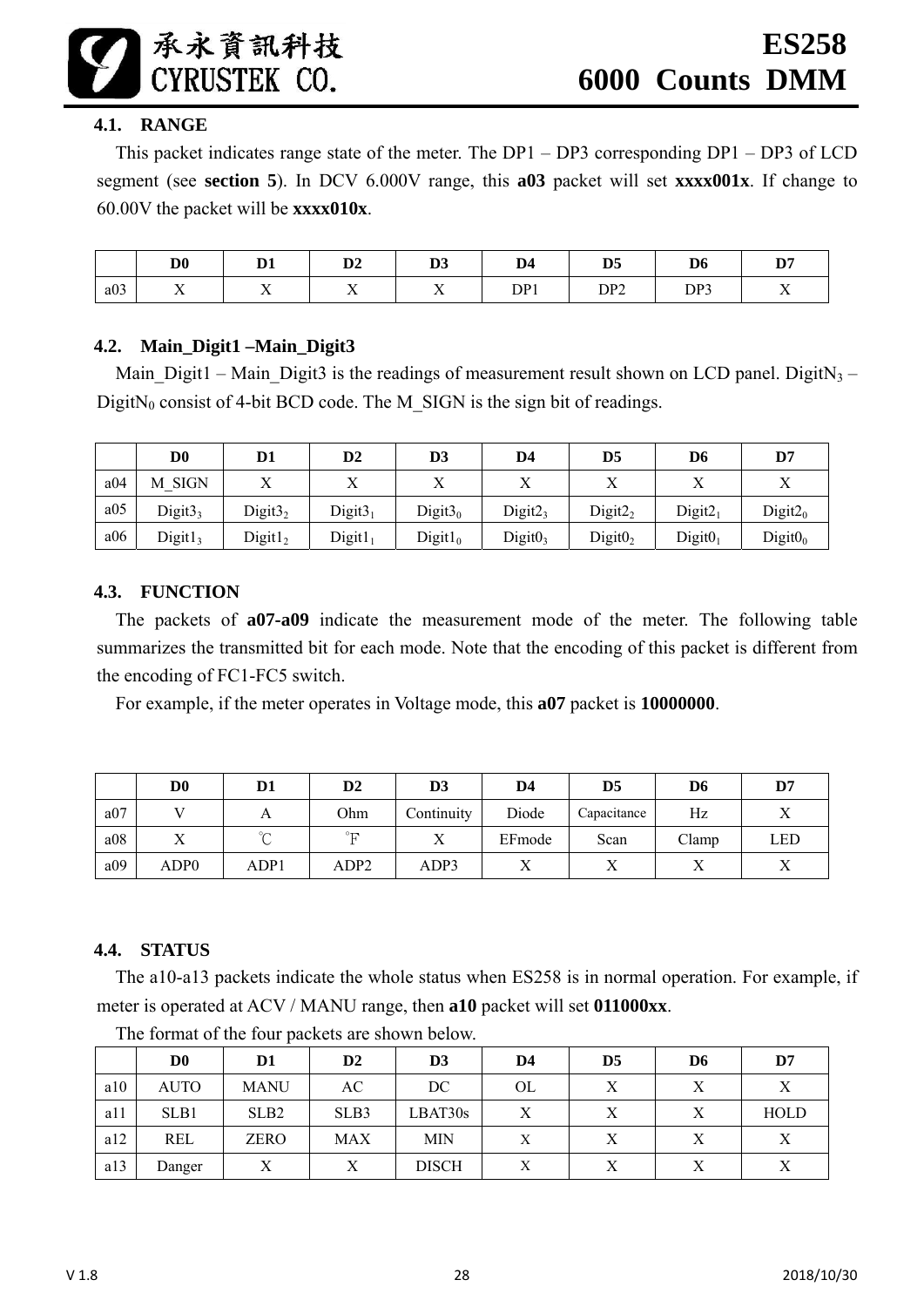#### **4.1. RANGE**

This packet indicates range state of the meter. The DP1 – DP3 corresponding DP1 – DP3 of LCD segment (see **section 5**). In DCV 6.000V range, this **a03** packet will set **xxxx001x**. If change to 60.00V the packet will be **xxxx010x**.

|     | D <sub>0</sub>         | D.<br>≖        | $\mathbf{D2}$            | D <sub>3</sub>           | D <sub>4</sub> | D <sub>5</sub>  | D <sub>6</sub> | פת<br>י ע             |
|-----|------------------------|----------------|--------------------------|--------------------------|----------------|-----------------|----------------|-----------------------|
| a03 | $ -$<br>$\overline{A}$ | $\overline{ }$ | $\overline{\phantom{a}}$ | $\overline{\phantom{a}}$ | DP1            | DP <sub>2</sub> | DP3            | - -<br>$\overline{1}$ |

#### **4.2. Main\_Digit1 –Main\_Digit3**

Main Digit1 – Main Digit3 is the readings of measurement result shown on LCD panel. DigitN<sub>3</sub> – DigitN<sub>0</sub> consist of 4-bit BCD code. The M\_SIGN is the sign bit of readings.

|     | D <sub>0</sub>      | D1                  | D2                  | D <sub>3</sub> | D <sub>4</sub>      | D <sub>5</sub>      | D6                  | D7                  |
|-----|---------------------|---------------------|---------------------|----------------|---------------------|---------------------|---------------------|---------------------|
| a04 | M SIGN              |                     | л                   |                | $\mathbf{v}$        |                     |                     | $\mathbf{v}$        |
| a05 | Digit $33$          | Digit3 <sub>2</sub> | Digit $31$          | Digit $30$     | Digit2 <sub>3</sub> | Digit2 <sub>2</sub> | Digit2 <sub>1</sub> | Digit2 <sub>0</sub> |
| a06 | Digit1 <sub>3</sub> | Digit1 <sub>2</sub> | Digit1 <sub>1</sub> | $Digit1_0$     | Digit0 <sub>3</sub> | Digit0 <sub>2</sub> | Digit0 <sub>1</sub> | $Digit0_0$          |

#### **4.3. FUNCTION**

The packets of **a07-a09** indicate the measurement mode of the meter. The following table summarizes the transmitted bit for each mode. Note that the encoding of this packet is different from the encoding of FC1-FC5 switch.

For example, if the meter operates in Voltage mode, this **a07** packet is **10000000**.

|     | $\mathbf{D} \mathbf{0}$ | D1           | $\mathbf{D2}$    | D <sub>3</sub> | D4        | D <sub>5</sub> | D6    | D7        |
|-----|-------------------------|--------------|------------------|----------------|-----------|----------------|-------|-----------|
| a07 |                         | $\mathbf{L}$ | Ohm              | Continuity     | Diode     | Capacitance    | Hz    |           |
| a08 |                         | $\sim$       | $^\circ\text{F}$ |                | EFmode    | Scan           | Clamp | LED       |
| a09 | ADP0                    | ADP1         | ADP2             | ADP3           | $\Lambda$ |                | ∡     | $\lambda$ |

# **4.4. STATUS**

The a10-a13 packets indicate the whole status when ES258 is in normal operation. For example, if meter is operated at ACV / MANU range, then **a10** packet will set **011000xx**.

|     | D <sub>0</sub> | D1               | $\mathbf{D2}$ | D <sub>3</sub> | D4 | D <sub>5</sub> | D6 | D7          |
|-----|----------------|------------------|---------------|----------------|----|----------------|----|-------------|
| a10 | <b>AUTO</b>    | <b>MANU</b>      | AC            | DC             | OL | $\mathbf v$    |    | Х           |
| a11 | SLB1           | SLB <sub>2</sub> | SLB3          | LBAT30s        | Χ  |                |    | <b>HOLD</b> |
| a12 | <b>REL</b>     | <b>ZERO</b>      | <b>MAX</b>    | <b>MIN</b>     | X  |                |    | $\mathbf v$ |
| a13 | Danger         | Х                | Х             | <b>DISCH</b>   | X  |                | Х  | Χ           |

The format of the four packets are shown below.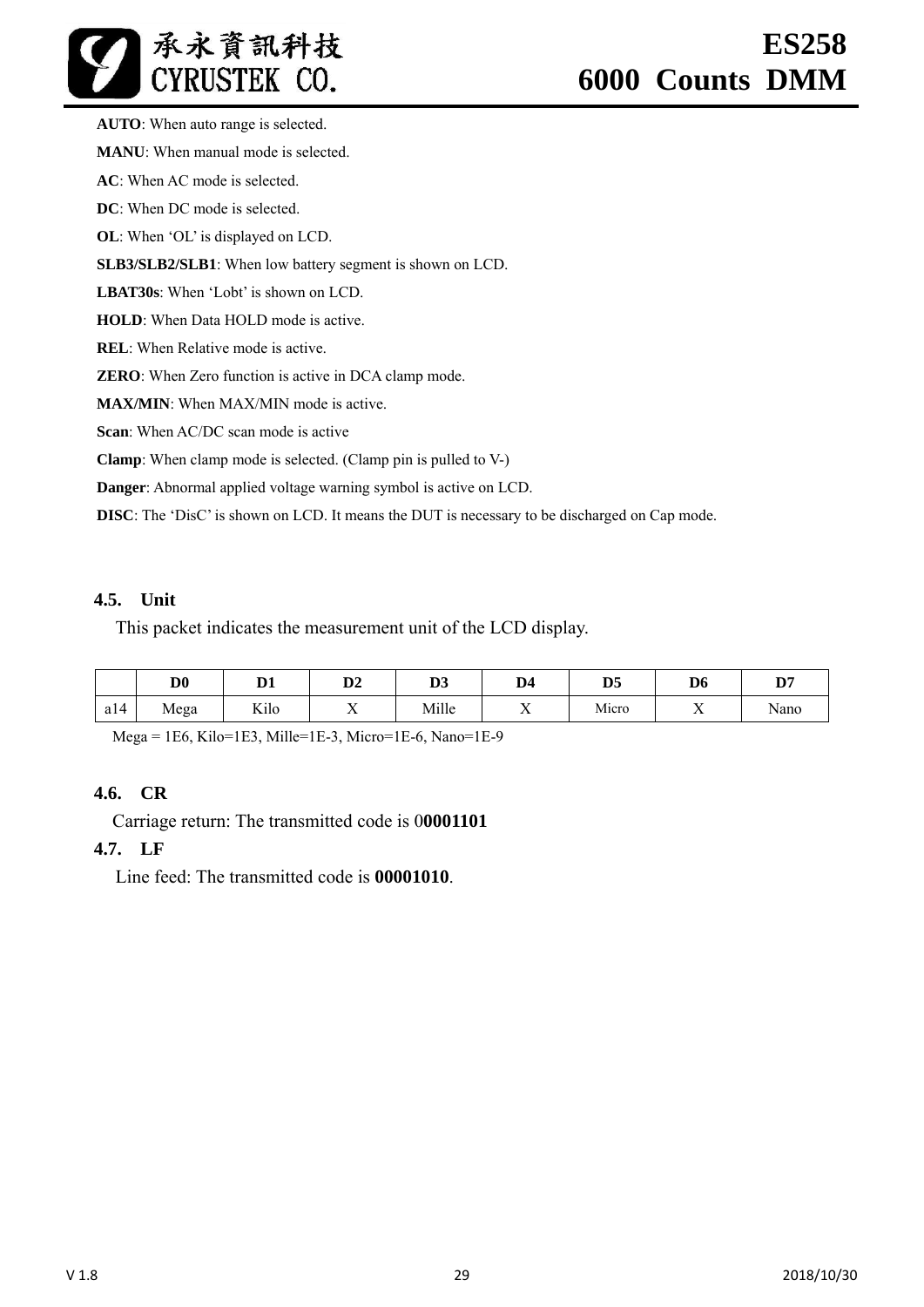**AUTO**: When auto range is selected. **MANU**: When manual mode is selected. **AC**: When AC mode is selected. **DC**: When DC mode is selected. **OL**: When 'OL' is displayed on LCD. **SLB3/SLB2/SLB1**: When low battery segment is shown on LCD. **LBAT30s**: When 'Lobt' is shown on LCD. **HOLD**: When Data HOLD mode is active. **REL**: When Relative mode is active. **ZERO**: When Zero function is active in DCA clamp mode. **MAX/MIN**: When MAX/MIN mode is active. **Scan**: When AC/DC scan mode is active **Clamp**: When clamp mode is selected. (Clamp pin is pulled to V-)

**Danger**: Abnormal applied voltage warning symbol is active on LCD.

**DISC**: The 'DisC' is shown on LCD. It means the DUT is necessary to be discharged on Cap mode.

#### **4.5. Unit**

This packet indicates the measurement unit of the LCD display.

|     | D <sub>0</sub> | $\mathbf{n}$<br>v1       | D.<br>D4       | n.<br>IJJ | D <sub>4</sub>        | D <sub>5</sub> | D <sub>6</sub> | n.,<br>יע |
|-----|----------------|--------------------------|----------------|-----------|-----------------------|----------------|----------------|-----------|
| a14 | Mega           | T T<br>K <sub>1</sub> lo | $\overline{ }$ | Mille     | - -<br>$\overline{ }$ | Micro          | $\overline{ }$ | Nano      |

Mega = 1E6, Kilo=1E3, Mille=1E-3, Micro=1E-6, Nano=1E-9

#### **4.6. CR**

Carriage return: The transmitted code is 0**0001101** 

#### **4.7. LF**

Line feed: The transmitted code is **00001010**.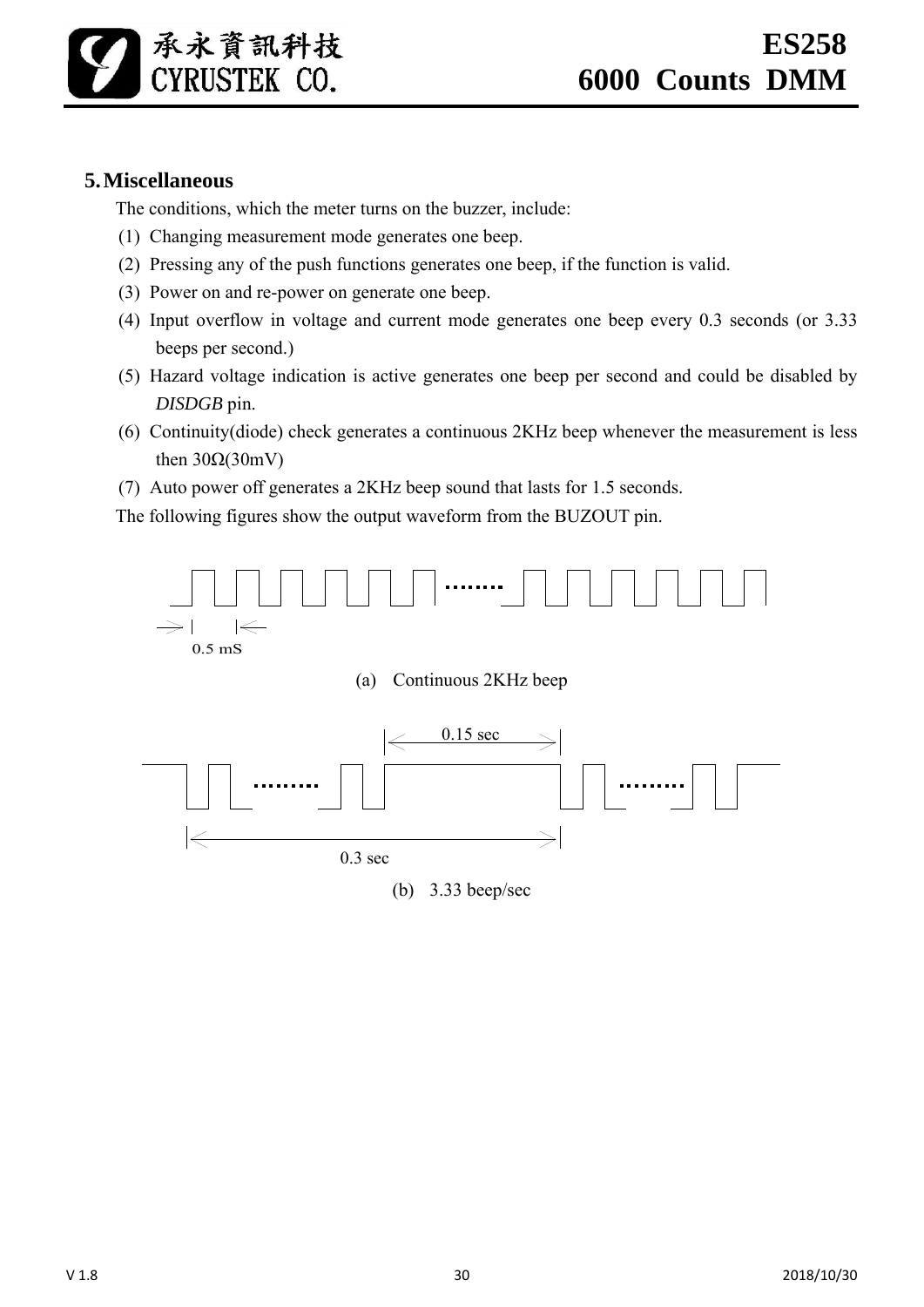# **5.Miscellaneous**

The conditions, which the meter turns on the buzzer, include:

- (1) Changing measurement mode generates one beep.
- (2) Pressing any of the push functions generates one beep, if the function is valid.
- (3) Power on and re-power on generate one beep.
- (4) Input overflow in voltage and current mode generates one beep every 0.3 seconds (or 3.33 beeps per second.)
- (5) Hazard voltage indication is active generates one beep per second and could be disabled by *DISDGB* pin.
- (6) Continuity(diode) check generates a continuous 2KHz beep whenever the measurement is less then  $30Ω(30mV)$
- (7) Auto power off generates a 2KHz beep sound that lasts for 1.5 seconds.

The following figures show the output waveform from the BUZOUT pin.

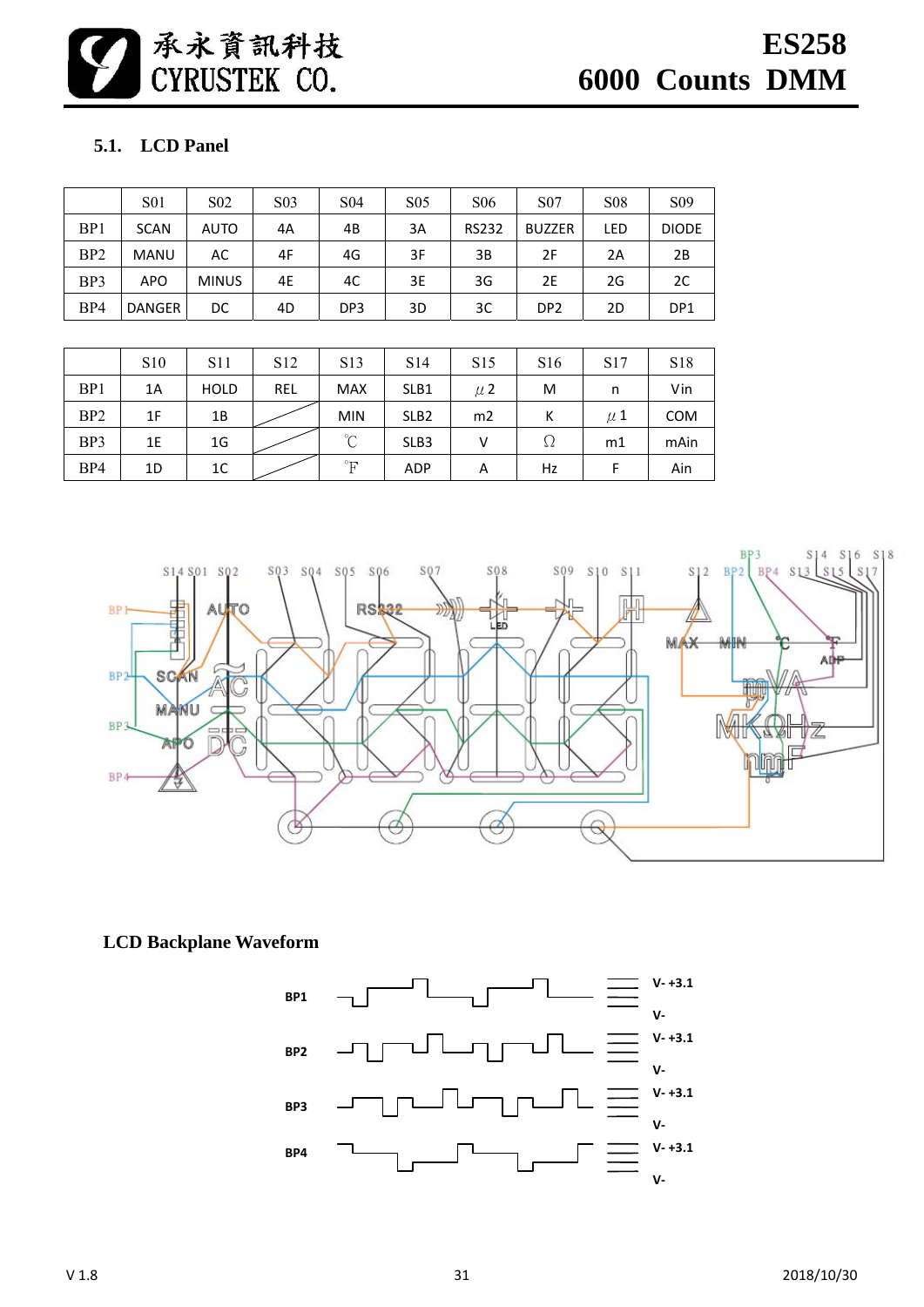承永資訊科技<br>CYRUSTEK CO.

# **5.1. LCD Panel**

|                 | <b>S01</b>  | S <sub>0</sub> 2 | S <sub>03</sub> | S <sub>04</sub> | S <sub>05</sub> | S <sub>06</sub> | <b>S07</b>      | <b>S08</b> | S <sub>09</sub> |
|-----------------|-------------|------------------|-----------------|-----------------|-----------------|-----------------|-----------------|------------|-----------------|
| BP <sub>1</sub> | <b>SCAN</b> | <b>AUTO</b>      | 4A              | 4B              | 3A              | <b>RS232</b>    | <b>BUZZER</b>   | LED        | <b>DIODE</b>    |
| BP <sub>2</sub> | <b>MANU</b> | AC               | 4F              | 4G              | 3F              | ЗB              | 2F              | 2Α         | 2B              |
| BP3             | <b>APO</b>  | <b>MINUS</b>     | 4E              | 4C              | 3E              | 3G              | 2E              | 2G         | 2C              |
| BP4             | DANGER      | DC               | 4D              | DP <sub>3</sub> | 3D              | 3C              | DP <sub>2</sub> | 2D         | DP <sub>1</sub> |

|                 | S <sub>10</sub> | S <sub>11</sub> | S <sub>12</sub> | S <sub>1</sub> 3     | S <sub>14</sub>  | S <sub>15</sub> | S <sub>16</sub> | S <sub>17</sub> | <b>S18</b> |
|-----------------|-----------------|-----------------|-----------------|----------------------|------------------|-----------------|-----------------|-----------------|------------|
| BP1             | 1A              | <b>HOLD</b>     | <b>REL</b>      | <b>MAX</b>           | SLB1             | $\mu$ 2         | M               | n               | Vin        |
| B <sub>P2</sub> | 1F              | 1B              |                 | <b>MIN</b>           | SLB <sub>2</sub> | m2              | К               | $\mu$ 1         | <b>COM</b> |
| BP3             | 1E              | 1G              |                 | $\rm ^{\circ}C$      | SLB <sub>3</sub> | V               | Ω               | m1              | mAin       |
| BP4             | 1D              | 1 <sup>C</sup>  |                 | $\mathsf{P}^{\circ}$ | <b>ADP</b>       | A               | Hz              | F               | Ain        |



**LCD Backplane Waveform** 

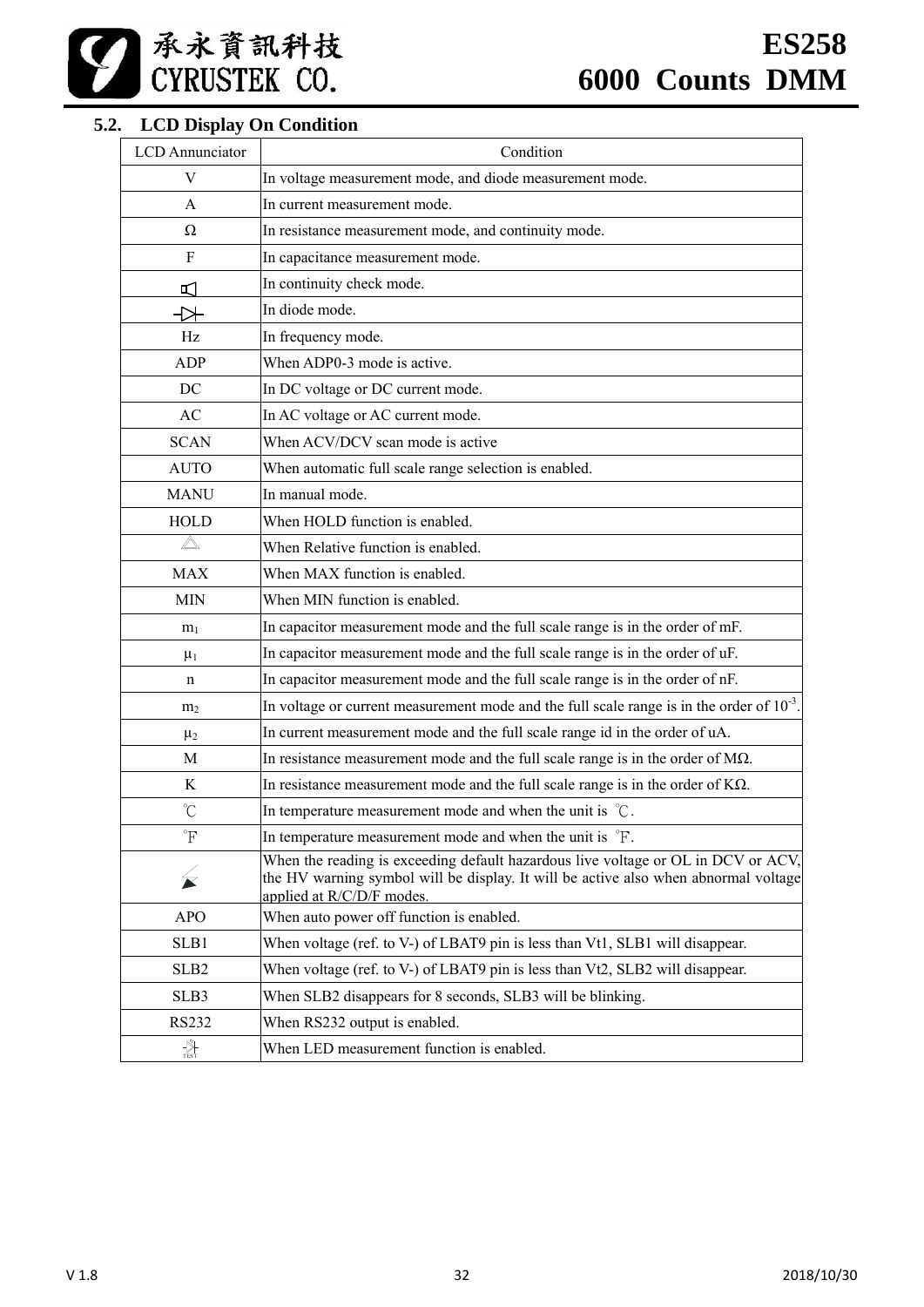# **5.2. LCD Display On Condition**

| <b>LCD</b> Annunciator | Condition                                                                                                                                                                                             |
|------------------------|-------------------------------------------------------------------------------------------------------------------------------------------------------------------------------------------------------|
| V                      | In voltage measurement mode, and diode measurement mode.                                                                                                                                              |
| A                      | In current measurement mode.                                                                                                                                                                          |
| Ω                      | In resistance measurement mode, and continuity mode.                                                                                                                                                  |
| F                      | In capacitance measurement mode.                                                                                                                                                                      |
| ᡌ                      | In continuity check mode.                                                                                                                                                                             |
| 弋                      | In diode mode.                                                                                                                                                                                        |
| Hz                     | In frequency mode.                                                                                                                                                                                    |
| <b>ADP</b>             | When ADP0-3 mode is active.                                                                                                                                                                           |
| DC                     | In DC voltage or DC current mode.                                                                                                                                                                     |
| AC                     | In AC voltage or AC current mode.                                                                                                                                                                     |
| <b>SCAN</b>            | When ACV/DCV scan mode is active                                                                                                                                                                      |
| <b>AUTO</b>            | When automatic full scale range selection is enabled.                                                                                                                                                 |
| <b>MANU</b>            | In manual mode.                                                                                                                                                                                       |
| <b>HOLD</b>            | When HOLD function is enabled.                                                                                                                                                                        |
| $\triangle$            | When Relative function is enabled.                                                                                                                                                                    |
| <b>MAX</b>             | When MAX function is enabled.                                                                                                                                                                         |
| <b>MIN</b>             | When MIN function is enabled.                                                                                                                                                                         |
| m <sub>1</sub>         | In capacitor measurement mode and the full scale range is in the order of mF.                                                                                                                         |
| $\mu_1$                | In capacitor measurement mode and the full scale range is in the order of uF.                                                                                                                         |
| n                      | In capacitor measurement mode and the full scale range is in the order of nF.                                                                                                                         |
| m <sub>2</sub>         | In voltage or current measurement mode and the full scale range is in the order of $10^{-3}$ .                                                                                                        |
| $\mu_2$                | In current measurement mode and the full scale range id in the order of uA.                                                                                                                           |
| M                      | In resistance measurement mode and the full scale range is in the order of $M\Omega$ .                                                                                                                |
| K                      | In resistance measurement mode and the full scale range is in the order of $K\Omega$ .                                                                                                                |
| $\rm ^{\circ}C$        | In temperature measurement mode and when the unit is $\degree$ C.                                                                                                                                     |
| $\rm ^{\circ}F$        | In temperature measurement mode and when the unit is °F.                                                                                                                                              |
| $\cancel{\leq}$        | When the reading is exceeding default hazardous live voltage or OL in DCV or ACV,<br>the HV warning symbol will be display. It will be active also when abnormal voltage<br>applied at R/C/D/F modes. |
| <b>APO</b>             | When auto power off function is enabled.                                                                                                                                                              |
| SLB1                   | When voltage (ref. to V-) of LBAT9 pin is less than Vt1, SLB1 will disappear.                                                                                                                         |
| SLB <sub>2</sub>       | When voltage (ref. to V-) of LBAT9 pin is less than Vt2, SLB2 will disappear.                                                                                                                         |
| SLB3                   | When SLB2 disappears for 8 seconds, SLB3 will be blinking.                                                                                                                                            |
| <b>RS232</b>           | When RS232 output is enabled.                                                                                                                                                                         |
| $\frac{N}{Test}$       | When LED measurement function is enabled.                                                                                                                                                             |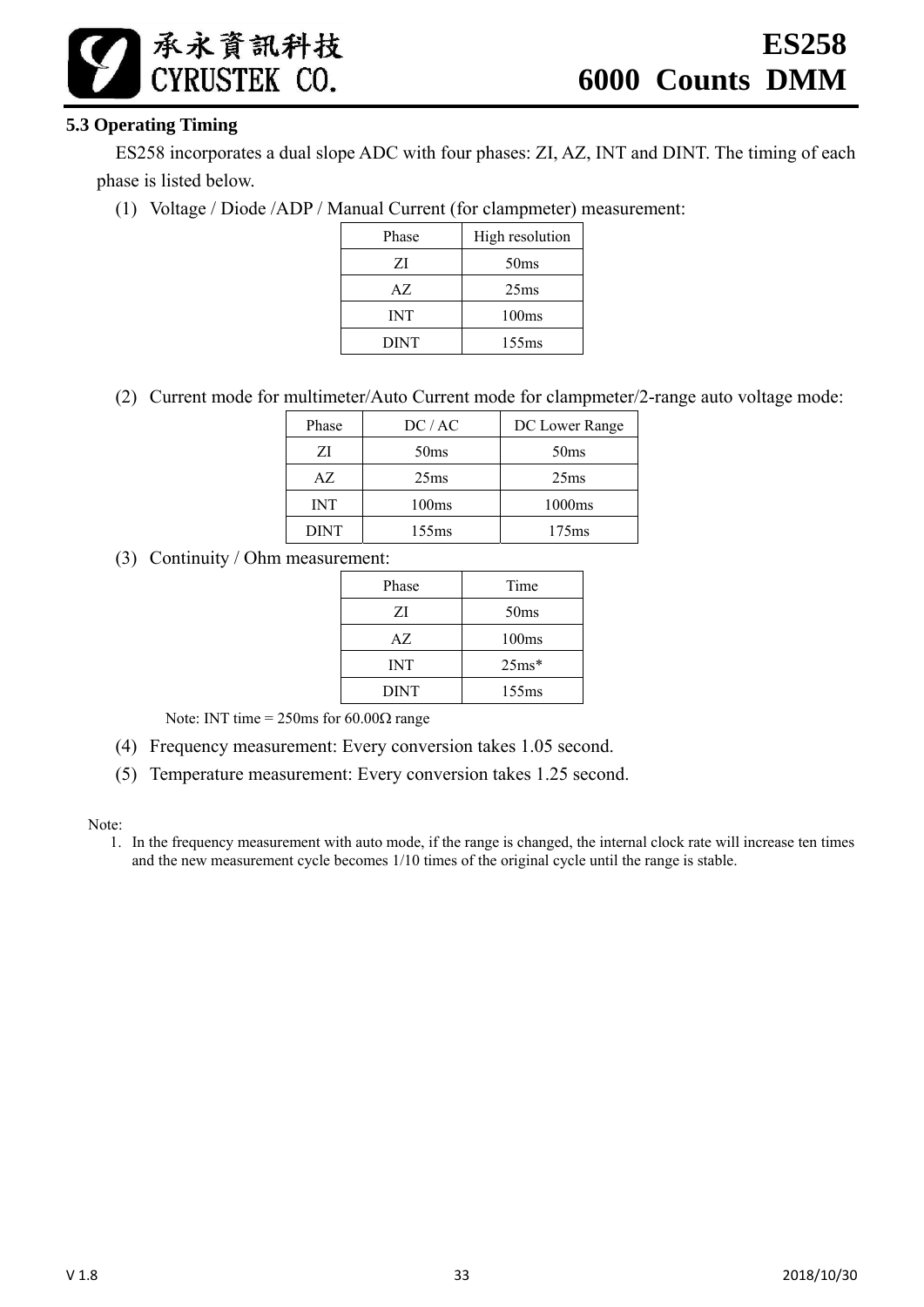# **5.3 Operating Timing**

承永資訊科技 CYRUSTEK CO.

ES258 incorporates a dual slope ADC with four phases: ZI, AZ, INT and DINT. The timing of each phase is listed below.

(1) Voltage / Diode /ADP / Manual Current (for clampmeter) measurement:

| Phase       | High resolution  |
|-------------|------------------|
| ΖI          | 50 <sub>ms</sub> |
| AZ.         | 25 <sub>ms</sub> |
| <b>INT</b>  | 100ms            |
| <b>DINT</b> | 155ms            |

(2) Current mode for multimeter/Auto Current mode for clampmeter/2-range auto voltage mode:

| Phase       | DC/AC             | DC Lower Range    |
|-------------|-------------------|-------------------|
| ΖI          | 50 <sub>ms</sub>  | 50 <sub>ms</sub>  |
| AZ.         | 25 <sub>ms</sub>  | 25 <sub>ms</sub>  |
| INT         | 100 <sub>ms</sub> | 1000ms            |
| <b>DINT</b> | 155ms             | 175 <sub>ms</sub> |

(3) Continuity / Ohm measurement:

| Phase       | Time              |
|-------------|-------------------|
| ΖI          | 50 <sub>ms</sub>  |
| AZ.         | 100 <sub>ms</sub> |
| <b>INT</b>  | $25ms*$           |
| <b>DINT</b> | 155ms             |

Note: INT time =  $250 \text{ms}$  for  $60.00 \Omega$  range

- (4) Frequency measurement: Every conversion takes 1.05 second.
- (5) Temperature measurement: Every conversion takes 1.25 second.

Note:

1. In the frequency measurement with auto mode, if the range is changed, the internal clock rate will increase ten times and the new measurement cycle becomes 1/10 times of the original cycle until the range is stable.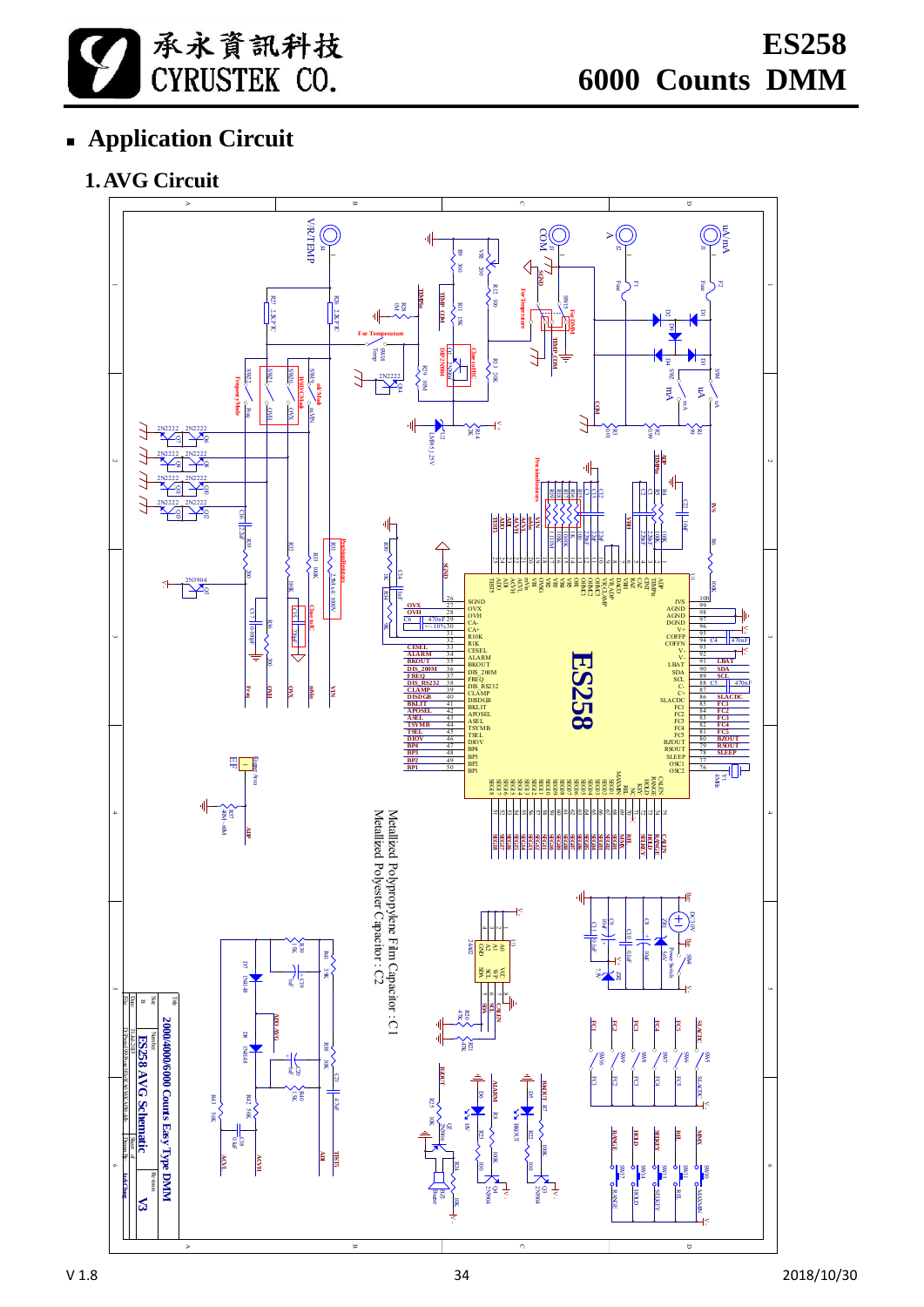

# **Application Circuit**

# **1.AVG Circuit**